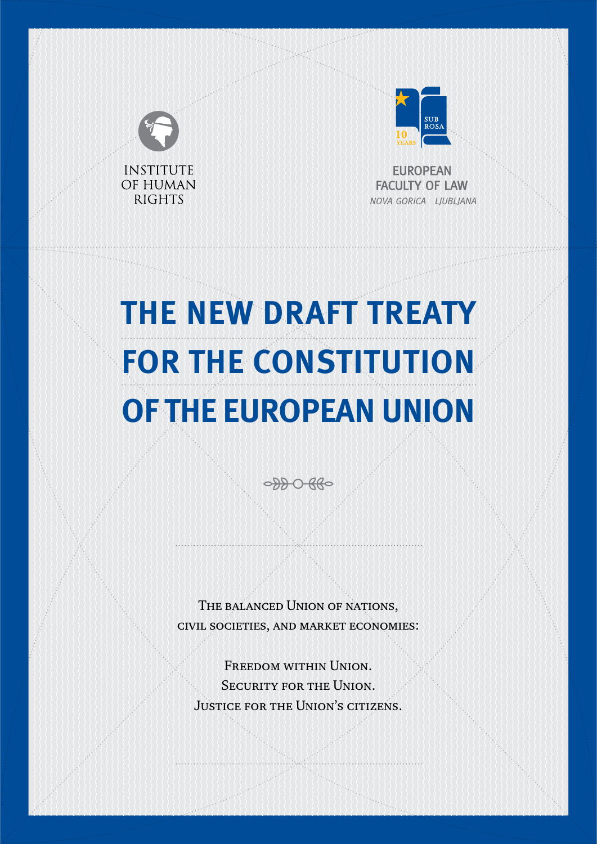

# THE NEW DRAFT TREATY **FOR THE CONSTITUTION** OF THE EUROPEAN UNION

0000880

THE BALANCED UNION OF NATIONS, CIVIL SOCIETIES, AND MARKET ECONOMIES:

FREEDOM WITHIN UNION. **SECURITY FOR THE UNION. JUSTICE FOR THE UNION'S CITIZENS.**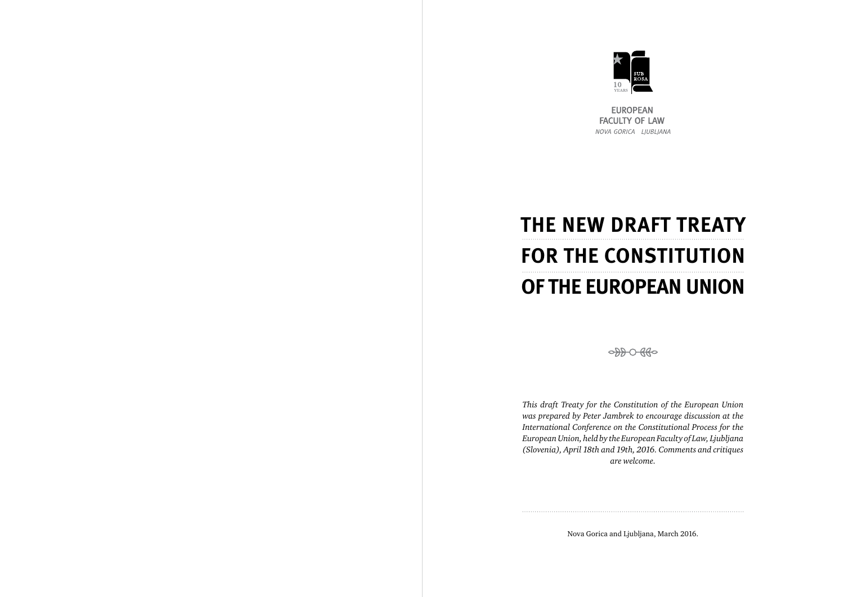

**EUROPEAN FACULTY OF LAW** NOVA GORICA LJUBLJANA

*This draft Treaty for the Constitution of the European Union was prepared by Peter Jambrek to encourage discussion at the International Conference on the Constitutional Process for the European Union, held by the European Faculty of Law, Ljubljana (Slovenia), April 18th and 19th, 2016. Comments and critiques are welcome.*

Nova Gorica and Ljubljana, March 2016.



## *THE NEW DRAFT TREATY FOR THE CONSTITUTION OF THE EUROPEAN UNION*

0000000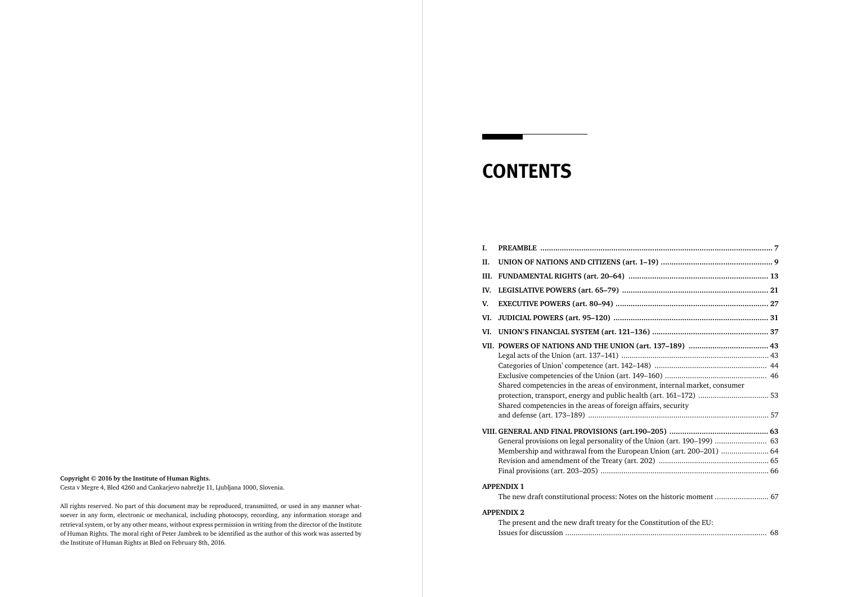- **I. PREAMBLE ............................................................................................................ 7**
- **II.** UNION OF NATIONS AND CITIZENS (art.
- **III. FUNDAMENTAL RIGHTS (art. 20–64) ................................................................. 13**
- **IV. LEGISLATIVE POWERS (art. 65–79) .................................................................... 21**
- **V. EXECUTIVE POWERS (art. 80–94) ....................................................................... 27**
- **VI. JUDICIAL POWERS (art. 95–120) ........................................................................ 31**
- **VI. UNION'S FINANCIAL SYSTEM (art. 121-1)**
- **VII. POWERS OF NATIONS AND THE UNION** Legal acts of the Union (art. 137–141) ......... Categories of Union' competence (art. 142-1 Exclusive competencies of the Union (art. 14 Shared competencies in the areas of environ protection, transport, energy and public hea Shared competencies in the areas of foreign and defense (art. 173–189) ....................................................................................... 57

#### **VIII. GENERAL AND FINAL PROVISIONS (art.1)**

General provisions on legal personality of th Membership and withrawal from the Europe Revision and amendment of the Treaty (art. Final provisions (art. 203-205) .....................

The present and the new draft treaty for the Issues for discussion ................................................................................................. 68

| ment, internal market, consumer |  |
|---------------------------------|--|
|                                 |  |
| affairs, security               |  |
|                                 |  |
|                                 |  |
|                                 |  |
| ean Union (art. 200–201)  64    |  |
|                                 |  |
|                                 |  |
|                                 |  |
| on the historic moment  67      |  |
|                                 |  |
| Constitution of the EU:         |  |
|                                 |  |

#### **APPENDIX 1**

The new draft constitutional process: Notes

#### **APPENDIX 2**

### *CONTENTS*

#### **Copyright © 2016 by the Institute of Human Rights.**

Cesta v Megre 4, Bled 4260 and Cankarjevo nabrežje 11, Ljubljana 1000, Slovenia.

All rights reserved. No part of this document may be reproduced, transmitted, or used in any manner whatsoever in any form, electronic or mechanical, including photocopy, recording, any information storage and retrieval system, or by any other means, without express permission in writing from the director of the Institute of Human Rights. The moral right of Peter Jambrek to be identified as the author of this work was asserted by the Institute of Human Rights at Bled on February 8th, 2016.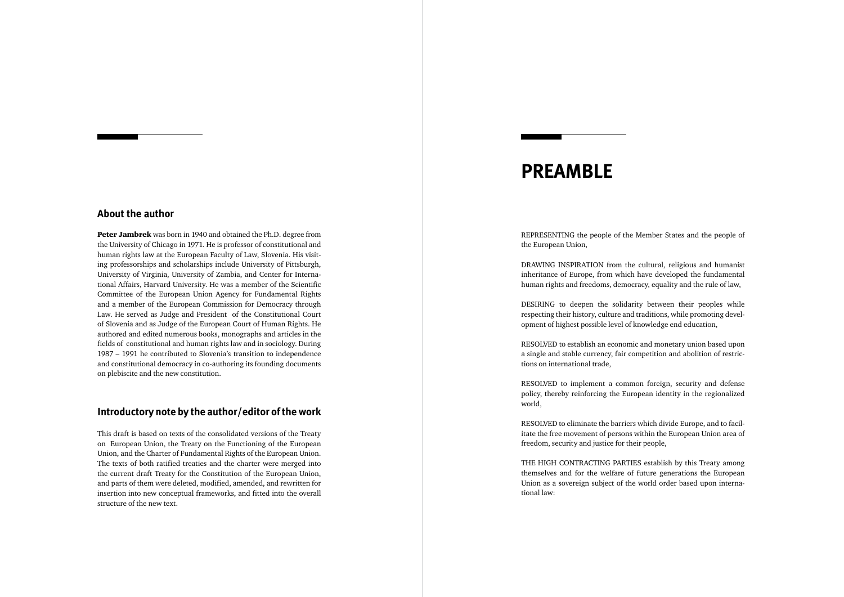### *PREAMBLE*

REPRESENTING the people of the Member States and the people of the European Union,

DRAWING INSPIRATION from the cultural, religious and humanist inheritance of Europe, from which have developed the fundamental human rights and freedoms, democracy, equality and the rule of law,

DESIRING to deepen the solidarity between their peoples while respecting their history, culture and traditions, while promoting development of highest possible level of knowledge end education,

RESOLVED to establish an economic and monetary union based upon a single and stable currency, fair competition and abolition of restrictions on international trade,

RESOLVED to implement a common foreign, security and defense policy, thereby reinforcing the European identity in the regionalized world,

RESOLVED to eliminate the barriers which divide Europe, and to facilitate the free movement of persons within the European Union area of freedom, security and justice for their people,

THE HIGH CONTRACTING PARTIES establish by this Treaty among themselves and for the welfare of future generations the European Union as a sovereign subject of the world order based upon international law:

Peter Jambrek was born in 1940 and obtained the Ph.D. degree from the University of Chicago in 1971. He is professor of constitutional and human rights law at the European Faculty of Law, Slovenia. His visiting professorships and scholarships include University of Pittsburgh, University of Virginia, University of Zambia, and Center for International Affairs, Harvard University. He was a member of the Scientific Committee of the European Union Agency for Fundamental Rights and a member of the European Commission for Democracy through Law. He served as Judge and President of the Constitutional Court of Slovenia and as Judge of the European Court of Human Rights. He authored and edited numerous books, monographs and articles in the fields of constitutional and human rights law and in sociology. During 1987 – 1991 he contributed to Slovenia's transition to independence and constitutional democracy in co-authoring its founding documents on plebiscite and the new constitution.

#### Introductory note by the author/editor of the work

#### **About the author**

This draft is based on texts of the consolidated versions of the Treaty on European Union, the Treaty on the Functioning of the European Union, and the Charter of Fundamental Rights of the European Union. The texts of both ratified treaties and the charter were merged into the current draft Treaty for the Constitution of the European Union, and parts of them were deleted, modified, amended, and rewritten for insertion into new conceptual frameworks, and fitted into the overall structure of the new text.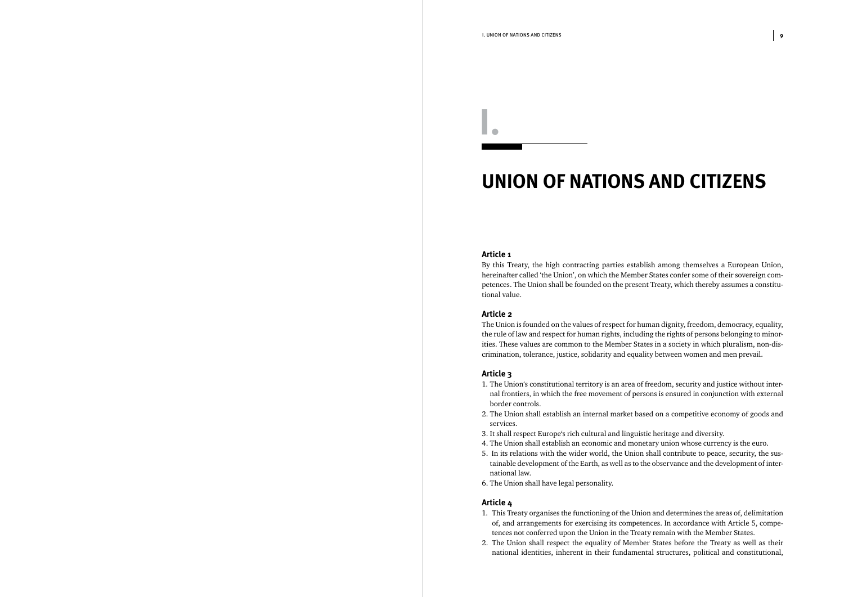## *UNION OF NATIONS AND CITIZENS*

#### **Article 1**

By this Treaty, the high contracting parties establish among themselves a European Union, hereinafter called 'the Union', on which the Member States confer some of their sovereign competences. The Union shall be founded on the present Treaty, which thereby assumes a constitutional value.

#### **Article 2**

The Union is founded on the values of respect for human dignity, freedom, democracy, equality, the rule of law and respect for human rights, including the rights of persons belonging to minorities. These values are common to the Member States in a society in which pluralism, non-discrimination, tolerance, justice, solidarity and equality between women and men prevail.

#### **Article 3**

1. The Union's constitutional territory is an area of freedom, security and justice without inter-

2. The Union shall establish an internal market based on a competitive economy of goods and

- nal frontiers, in which the free movement of persons is ensured in conjunction with external border controls.
- services.
- 3. It shall respect Europe's rich cultural and linguistic heritage and diversity.
- 4. The Union shall establish an economic and monetary union whose currency is the euro.
- 5. In its relations with the wider world, the Union shall contribute to peace, security, the sustainable development of the Earth, as well as to the observance and the development of international law.
- 6. The Union shall have legal personality.

#### **Article 4**

1. This Treaty organises the functioning of the Union and determines the areas of, delimitation

- of, and arrangements for exercising its competences. In accordance with Article 5, competences not conferred upon the Union in the Treaty remain with the Member States.
- 2. The Union shall respect the equality of Member States before the Treaty as well as their

national identities, inherent in their fundamental structures, political and constitutional,

*I.*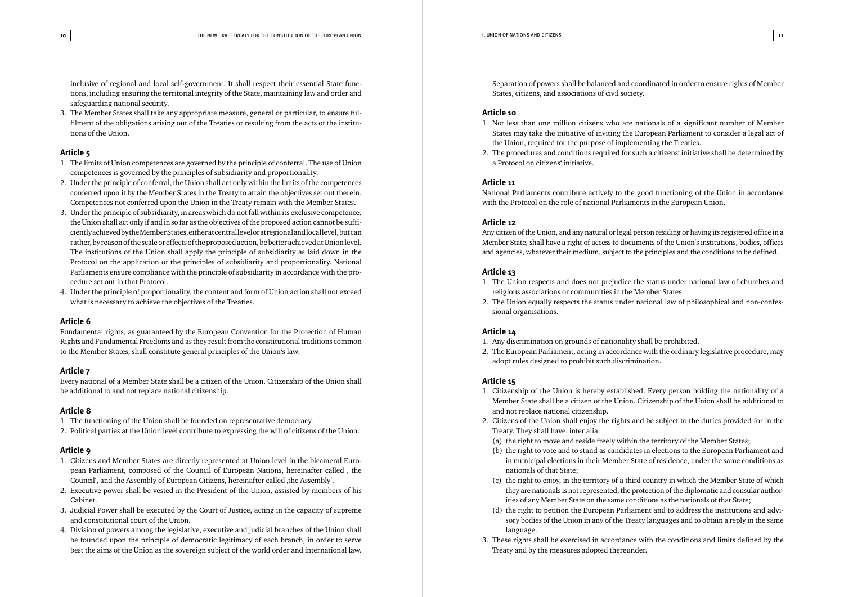inclusive of regional and local self-government. It shall respect their essential State functions, including ensuring the territorial integrity of the State, maintaining law and order and safeguarding national security.

3. The Member States shall take any appropriate measure, general or particular, to ensure fulfilment of the obligations arising out of the Treaties or resulting from the acts of the institutions of the Union.

#### **Article 5**

- 1. The limits of Union competences are governed by the principle of conferral. The use of Union competences is governed by the principles of subsidiarity and proportionality.
- 2. Under the principle of conferral, the Union shall act only within the limits of the competences conferred upon it by the Member States in the Treaty to attain the objectives set out therein. Competences not conferred upon the Union in the Treaty remain with the Member States.
- 3. Under the principle of subsidiarity, in areas which do not fall within its exclusive competence, the Union shall act only if and in so far as the objectives of the proposed action cannot be sufficiently achieved by the Member States, either at central level or at regional and local level, but can rather, by reason of the scale or effects of the proposed action, be better achieved at Union level. The institutions of the Union shall apply the principle of subsidiarity as laid down in the Protocol on the application of the principles of subsidiarity and proportionality. National Parliaments ensure compliance with the principle of subsidiarity in accordance with the procedure set out in that Protocol.
- 4. Under the principle of proportionality, the content and form of Union action shall not exceed what is necessary to achieve the objectives of the Treaties.

#### **Article 6**

Fundamental rights, as guaranteed by the European Convention for the Protection of Human Rights and Fundamental Freedoms and as they result from the constitutional traditions common to the Member States, shall constitute general principles of the Union's law.

#### **Article 7**

Every national of a Member State shall be a citizen of the Union. Citizenship of the Union shall be additional to and not replace national citizenship.

#### **Article 8**

- 1. The functioning of the Union shall be founded on representative democracy.
- 2. Political parties at the Union level contribute to expressing the will of citizens of the Union.

#### **Article 9**

- 1. Citizens and Member States are directly represented at Union level in the bicameral European Parliament, composed of the Council of European Nations, hereinafter called, the Council', and the Assembly of European Citizens, hereinafter called , the Assembly'.
- 2. Executive power shall be vested in the President of the Union, assisted by members of his Cabinet.
- 3. Judicial Power shall be executed by the Court of Justice, acting in the capacity of supreme and constitutional court of the Union.
- 4. Division of powers among the legislative, executive and judicial branches of the Union shall be founded upon the principle of democratic legitimacy of each branch, in order to serve best the aims of the Union as the sovereign subject of the world order and international law.

Separation of powers shall be balanced and coordinated in order to ensure rights of Member States, citizens, and associations of civil society.

#### **Article 10**

1. Not less than one million citizens who are nationals of a significant number of Member States may take the initiative of inviting the European Parliament to consider a legal act of

- the Union, required for the purpose of implementing the Treaties.
- a Protocol on citizens' initiative.

2. The procedures and conditions required for such a citizens' initiative shall be determined by

#### **Article 11**

National Parliaments contribute actively to the good functioning of the Union in accordance with the Protocol on the role of national Parliaments in the European Union.

#### **Article 12**

Any citizen of the Union, and any natural or legal person residing or having its registered office in a Member State, shall have a right of access to documents of the Union's institutions, bodies, offices and agencies, whatever their medium, subject to the principles and the conditions to be defined.

#### **Article 13**

1. The Union respects and does not prejudice the status under national law of churches and

- religious associations or communities in the Member States.
- sional organisations.

2. The Union equally respects the status under national law of philosophical and non-confes-

#### **Article 14**

- 1. Any discrimination on grounds of nationality shall be prohibited.
- adopt rules designed to prohibit such discrimination.

2. The European Parliament, acting in accordance with the ordinary legislative procedure, may

#### **Article 15**

1. Citizenship of the Union is hereby established. Every person holding the nationality of a

2. Citizens of the Union shall enjoy the rights and be subject to the duties provided for in the

(a) the right to move and reside freely within the territory of the Member States;

(b) the right to vote and to stand as candidates in elections to the European Parliament and in municipal elections in their Member State of residence, under the same conditions as

- Member State shall be a citizen of the Union. Citizenship of the Union shall be additional to and not replace national citizenship.
- Treaty. They shall have, inter alia:
- 
- nationals of that State;
- ities of any Member State on the same conditions as the nationals of that State;
- language.
- Treaty and by the measures adopted thereunder.

(c) the right to enjoy, in the territory of a third country in which the Member State of which they are nationals is not represented, the protection of the diplomatic and consular author-

(d) the right to petition the European Parliament and to address the institutions and advisory bodies of the Union in any of the Treaty languages and to obtain a reply in the same

3. These rights shall be exercised in accordance with the conditions and limits defined by the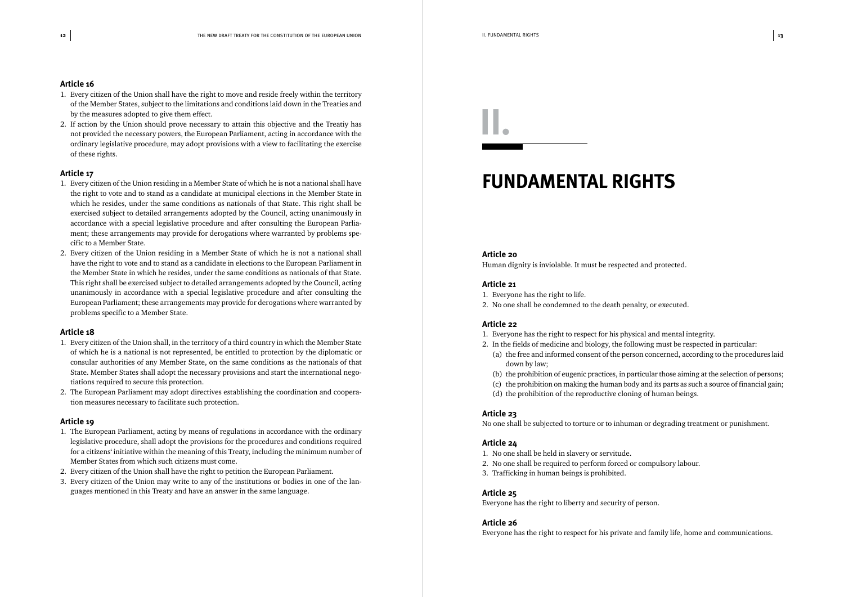- 1. Every citizen of the Union shall have the right to move and reside freely within the territory of the Member States, subject to the limitations and conditions laid down in the Treaties and by the measures adopted to give them effect.
- 2. If action by the Union should prove necessary to attain this objective and the Treatiy has not provided the necessary powers, the European Parliament, acting in accordance with the ordinary legislative procedure, may adopt provisions with a view to facilitating the exercise of these rights.

#### **Article 17**

- 1. Every citizen of the Union residing in a Member State of which he is not a national shall have the right to vote and to stand as a candidate at municipal elections in the Member State in which he resides, under the same conditions as nationals of that State. This right shall be exercised subject to detailed arrangements adopted by the Council, acting unanimously in accordance with a special legislative procedure and after consulting the European Parliament; these arrangements may provide for derogations where warranted by problems specific to a Member State.
- 2. Every citizen of the Union residing in a Member State of which he is not a national shall have the right to vote and to stand as a candidate in elections to the European Parliament in the Member State in which he resides, under the same conditions as nationals of that State. This right shall be exercised subject to detailed arrangements adopted by the Council, acting unanimously in accordance with a special legislative procedure and after consulting the European Parliament; these arrangements may provide for derogations where warranted by problems specific to a Member State.

#### **Article 18**

- 1. Every citizen of the Union shall, in the territory of a third country in which the Member State of which he is a national is not represented, be entitled to protection by the diplomatic or consular authorities of any Member State, on the same conditions as the nationals of that State. Member States shall adopt the necessary provisions and start the international negotiations required to secure this protection.
- 2. The European Parliament may adopt directives establishing the coordination and cooperation measures necessary to facilitate such protection.

#### **Article 19**

- 1. The European Parliament, acting by means of regulations in accordance with the ordinary legislative procedure, shall adopt the provisions for the procedures and conditions required for a citizens' initiative within the meaning of this Treaty, including the minimum number of Member States from which such citizens must come.
- 2. Every citizen of the Union shall have the right to petition the European Parliament.
- 3. Every citizen of the Union may write to any of the institutions or bodies in one of the languages mentioned in this Treaty and have an answer in the same language.

## *FUNDAMENTAL RIGHTS*

#### **Article 20**

Human dignity is inviolable. It must be respected and protected.

#### **Article 21**

- 1. Everyone has the right to life.
- 2. No one shall be condemned to the death penalty, or executed.

#### **Article 22**

2. In the fields of medicine and biology, the following must be respected in particular: (a) the free and informed consent of the person concerned, according to the procedures laid

- 1. Everyone has the right to respect for his physical and mental integrity.
- down by law;
- 
- 
- (d) the prohibition of the reproductive cloning of human beings.

(b) the prohibition of eugenic practices, in particular those aiming at the selection of persons; (c) the prohibition on making the human body and its parts as such a source of financial gain;

#### **Article 23**

No one shall be subjected to torture or to inhuman or degrading treatment or punishment.

#### **Article 24**

- 1. No one shall be held in slavery or servitude.
- 2. No one shall be required to perform forced or compulsory labour.
- 3. Trafficking in human beings is prohibited.

#### **Article 25**

Everyone has the right to liberty and security of person.

#### **Article 26**

Everyone has the right to respect for his private and family life, home and communications.

*II.*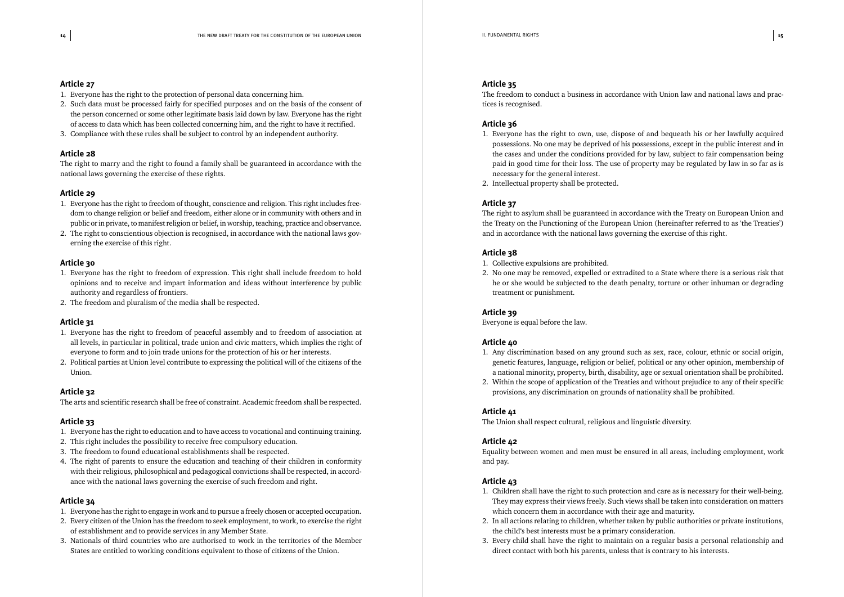- 1. Everyone has the right to the protection of personal data concerning him.
- 2. Such data must be processed fairly for specified purposes and on the basis of the consent of the person concerned or some other legitimate basis laid down by law. Everyone has the right of access to data which has been collected concerning him, and the right to have it rectified.
- 3. Compliance with these rules shall be subject to control by an independent authority.

#### **Article 28**

The right to marry and the right to found a family shall be guaranteed in accordance with the national laws governing the exercise of these rights.

#### **Article 29**

- 1. Everyone has the right to freedom of thought, conscience and religion. This right includes freedom to change religion or belief and freedom, either alone or in community with others and in public or in private, to manifest religion or belief, in worship, teaching, practice and observance.
- 2. The right to conscientious objection is recognised, in accordance with the national laws governing the exercise of this right.

#### **Article 30**

- 1. Everyone has the right to freedom of expression. This right shall include freedom to hold opinions and to receive and impart information and ideas without interference by public authority and regardless of frontiers.
- 2. The freedom and pluralism of the media shall be respected.

#### **Article 31**

- 1. Everyone has the right to freedom of peaceful assembly and to freedom of association at all levels, in particular in political, trade union and civic matters, which implies the right of everyone to form and to join trade unions for the protection of his or her interests.
- 2. Political parties at Union level contribute to expressing the political will of the citizens of the Union.

#### **Article 32**

The arts and scientific research shall be free of constraint. Academic freedom shall be respected.

#### **Article 33**

- 1. Everyone has the right to education and to have access to vocational and continuing training.
- 2. This right includes the possibility to receive free compulsory education.
- 3. The freedom to found educational establishments shall be respected.
- 4. The right of parents to ensure the education and teaching of their children in conformity with their religious, philosophical and pedagogical convictions shall be respected, in accordance with the national laws governing the exercise of such freedom and right.

#### **Article 34**

- 1. Everyone has the right to engage in work and to pursue a freely chosen or accepted occupation.
- 2. Every citizen of the Union has the freedom to seek employment, to work, to exercise the right of establishment and to provide services in any Member State.
- 3. Nationals of third countries who are authorised to work in the territories of the Member States are entitled to working conditions equivalent to those of citizens of the Union.

#### **Article 35**

The freedom to conduct a business in accordance with Union law and national laws and practices is recognised.

#### **Article 36**

1. Everyone has the right to own, use, dispose of and bequeath his or her lawfully acquired possessions. No one may be deprived of his possessions, except in the public interest and in the cases and under the conditions provided for by law, subject to fair compensation being paid in good time for their loss. The use of property may be regulated by law in so far as is

- necessary for the general interest.
- 2. Intellectual property shall be protected.

#### **Article 37**

The right to asylum shall be guaranteed in accordance with the Treaty on European Union and the Treaty on the Functioning of the European Union (hereinafter referred to as 'the Treaties') and in accordance with the national laws governing the exercise of this right.

#### **Article 38**

- 1. Collective expulsions are prohibited.
- treatment or punishment.

2. No one may be removed, expelled or extradited to a State where there is a serious risk that he or she would be subjected to the death penalty, torture or other inhuman or degrading

#### **Article 39**

Everyone is equal before the law.

#### **Article 40**

1. Any discrimination based on any ground such as sex, race, colour, ethnic or social origin, genetic features, language, religion or belief, political or any other opinion, membership of a national minority, property, birth, disability, age or sexual orientation shall be prohibited.

- 
- 2. Within the scope of application of the Treaties and without prejudice to any of their specific provisions, any discrimination on grounds of nationality shall be prohibited.

#### **Article 41**

The Union shall respect cultural, religious and linguistic diversity.

#### Article 42

Equality between women and men must be ensured in all areas, including employment, work and pay.

#### **Article 43**

1. Children shall have the right to such protection and care as is necessary for their well-being.

2. In all actions relating to children, whether taken by public authorities or private institutions,

- They may express their views freely. Such views shall be taken into consideration on matters which concern them in accordance with their age and maturity.
- the child's best interests must be a primary consideration.
- direct contact with both his parents, unless that is contrary to his interests.

3. Every child shall have the right to maintain on a regular basis a personal relationship and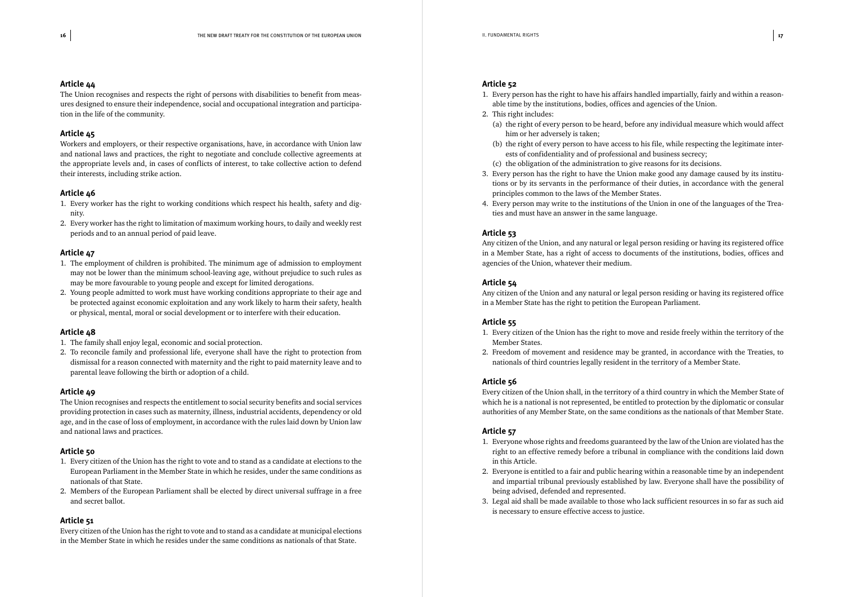The Union recognises and respects the right of persons with disabilities to benefit from measures designed to ensure their independence, social and occupational integration and participation in the life of the community.

#### **Article 45**

Workers and employers, or their respective organisations, have, in accordance with Union law and national laws and practices, the right to negotiate and conclude collective agreements at the appropriate levels and, in cases of conflicts of interest, to take collective action to defend their interests, including strike action.

#### **Article 46**

- 1. Every worker has the right to working conditions which respect his health, safety and dignity.
- 2. Every worker has the right to limitation of maximum working hours, to daily and weekly rest periods and to an annual period of paid leave.

#### **Article 47**

- 1. The employment of children is prohibited. The minimum age of admission to employment may not be lower than the minimum school-leaving age, without prejudice to such rules as may be more favourable to young people and except for limited derogations.
- 2. Young people admitted to work must have working conditions appropriate to their age and be protected against economic exploitation and any work likely to harm their safety, health or physical, mental, moral or social development or to interfere with their education.

#### **Article 48**

- 1. The family shall enjoy legal, economic and social protection.
- 2. To reconcile family and professional life, everyone shall have the right to protection from dismissal for a reason connected with maternity and the right to paid maternity leave and to parental leave following the birth or adoption of a child.

#### **Article 49**

The Union recognises and respects the entitlement to social security benefits and social services providing protection in cases such as maternity, illness, industrial accidents, dependency or old age, and in the case of loss of employment, in accordance with the rules laid down by Union law and national laws and practices.

#### **Article 50**

- 1. Every citizen of the Union has the right to vote and to stand as a candidate at elections to the European Parliament in the Member State in which he resides, under the same conditions as nationals of that State.
- 2. Members of the European Parliament shall be elected by direct universal suffrage in a free and secret ballot.

#### **Article 51**

Every citizen of the Union has the right to vote and to stand as a candidate at municipal elections in the Member State in which he resides under the same conditions as nationals of that State.

#### **Article 52**

1. Every person has the right to have his affairs handled impartially, fairly and within a reason-

(a) the right of every person to be heard, before any individual measure which would affect

(b) the right of every person to have access to his file, while respecting the legitimate inter-

- able time by the institutions, bodies, offices and agencies of the Union. 2. This right includes:
	- him or her adversely is taken;
	- ests of confidentiality and of professional and business secrecy;
	- (c) the obligation of the administration to give reasons for its decisions.
- principles common to the laws of the Member States.
- ties and must have an answer in the same language.

3. Every person has the right to have the Union make good any damage caused by its institutions or by its servants in the performance of their duties, in accordance with the general

4. Every person may write to the institutions of the Union in one of the languages of the Trea-

#### **Article 53**

Any citizen of the Union, and any natural or legal person residing or having its registered office in a Member State, has a right of access to documents of the institutions, bodies, offices and agencies of the Union, whatever their medium.

#### **Article 54**

Any citizen of the Union and any natural or legal person residing or having its registered office in a Member State has the right to petition the European Parliament.

#### **Article 55**

1. Every citizen of the Union has the right to move and reside freely within the territory of the

- Member States.
- 2. Freedom of movement and residence may be granted, in accordance with the Treaties, to nationals of third countries legally resident in the territory of a Member State.

#### **Article 56**

Every citizen of the Union shall, in the territory of a third country in which the Member State of which he is a national is not represented, be entitled to protection by the diplomatic or consular authorities of any Member State, on the same conditions as the nationals of that Member State.

#### **Article 57**

1. Everyone whose rights and freedoms guaranteed by the law of the Union are violated has the

2. Everyone is entitled to a fair and public hearing within a reasonable time by an independent and impartial tribunal previously established by law. Everyone shall have the possibility of

- right to an effective remedy before a tribunal in compliance with the conditions laid down in this Article.
- being advised, defended and represented.
- is necessary to ensure effective access to justice.

3. Legal aid shall be made available to those who lack sufficient resources in so far as such aid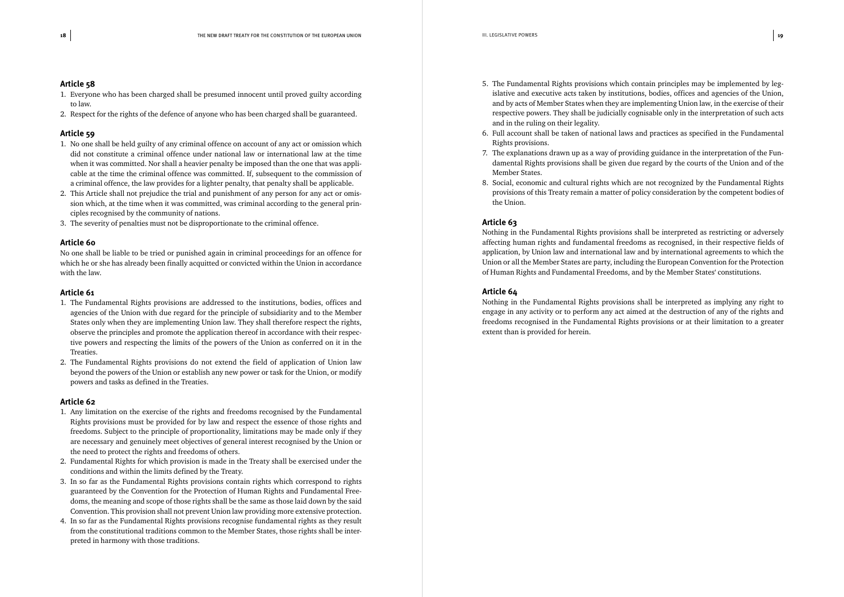- 1. Everyone who has been charged shall be presumed innocent until proved guilty according to law.
- 2. Respect for the rights of the defence of anyone who has been charged shall be guaranteed.

#### **Article 59**

- 1. No one shall be held guilty of any criminal offence on account of any act or omission which did not constitute a criminal offence under national law or international law at the time when it was committed. Nor shall a heavier penalty be imposed than the one that was applicable at the time the criminal offence was committed. If, subsequent to the commission of a criminal offence, the law provides for a lighter penalty, that penalty shall be applicable.
- 2. This Article shall not prejudice the trial and punishment of any person for any act or omission which, at the time when it was committed, was criminal according to the general principles recognised by the community of nations.
- 3. The severity of penalties must not be disproportionate to the criminal offence.

#### **Article 60**

No one shall be liable to be tried or punished again in criminal proceedings for an offence for which he or she has already been finally acquitted or convicted within the Union in accordance with the law.

#### **Article 61**

- 1. The Fundamental Rights provisions are addressed to the institutions, bodies, offices and agencies of the Union with due regard for the principle of subsidiarity and to the Member States only when they are implementing Union law. They shall therefore respect the rights, observe the principles and promote the application thereof in accordance with their respective powers and respecting the limits of the powers of the Union as conferred on it in the Treaties.
- 2. The Fundamental Rights provisions do not extend the field of application of Union law beyond the powers of the Union or establish any new power or task for the Union, or modify powers and tasks as defined in the Treaties.

#### **Article 62**

- 1. Any limitation on the exercise of the rights and freedoms recognised by the Fundamental Rights provisions must be provided for by law and respect the essence of those rights and freedoms. Subject to the principle of proportionality, limitations may be made only if they are necessary and genuinely meet objectives of general interest recognised by the Union or the need to protect the rights and freedoms of others.
- 2. Fundamental Rights for which provision is made in the Treaty shall be exercised under the conditions and within the limits defined by the Treaty.
- 3. In so far as the Fundamental Rights provisions contain rights which correspond to rights guaranteed by the Convention for the Protection of Human Rights and Fundamental Freedoms, the meaning and scope of those rights shall be the same as those laid down by the said Convention. This provision shall not prevent Union law providing more extensive protection.
- 4. In so far as the Fundamental Rights provisions recognise fundamental rights as they result from the constitutional traditions common to the Member States, those rights shall be interpreted in harmony with those traditions.

5. The Fundamental Rights provisions which contain principles may be implemented by legislative and executive acts taken by institutions, bodies, offices and agencies of the Union, and by acts of Member States when they are implementing Union law, in the exercise of their respective powers. They shall be judicially cognisable only in the interpretation of such acts

6. Full account shall be taken of national laws and practices as specified in the Fundamental

7. The explanations drawn up as a way of providing guidance in the interpretation of the Fundamental Rights provisions shall be given due regard by the courts of the Union and of the

- and in the ruling on their legality.
- Rights provisions.
- Member States.
- the Union.

8. Social, economic and cultural rights which are not recognized by the Fundamental Rights provisions of this Treaty remain a matter of policy consideration by the competent bodies of

#### **Article 63**

Nothing in the Fundamental Rights provisions shall be interpreted as restricting or adversely affecting human rights and fundamental freedoms as recognised, in their respective fields of application, by Union law and international law and by international agreements to which the Union or all the Member States are party, including the European Convention for the Protection of Human Rights and Fundamental Freedoms, and by the Member States' constitutions.

#### **Article 64**

Nothing in the Fundamental Rights provisions shall be interpreted as implying any right to engage in any activity or to perform any act aimed at the destruction of any of the rights and freedoms recognised in the Fundamental Rights provisions or at their limitation to a greater extent than is provided for herein.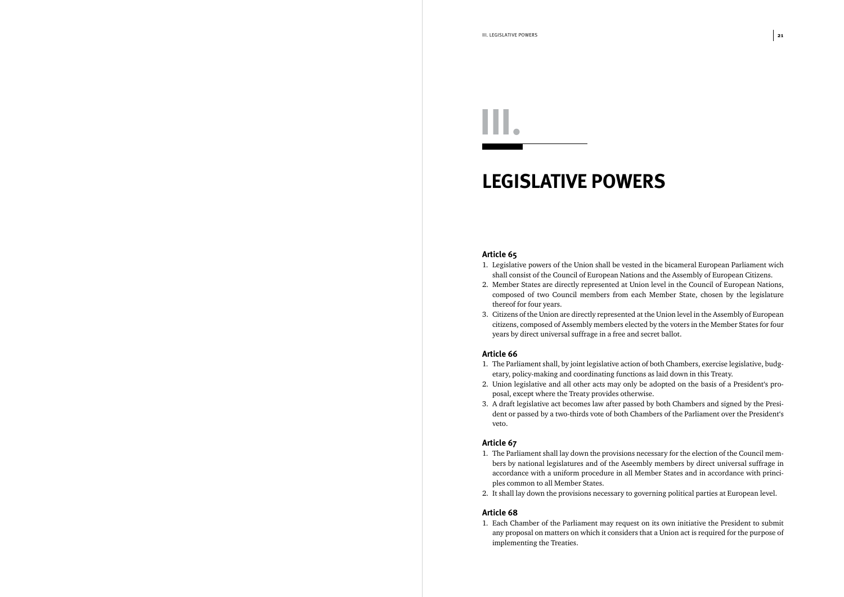## *LEGISLATIVE POWERS*

#### **Article 65**

shall consist of the Council of European Nations and the Assembly of European Citizens. 2. Member States are directly represented at Union level in the Council of European Nations, composed of two Council members from each Member State, chosen by the legislature

- 1. Legislative powers of the Union shall be vested in the bicameral European Parliament wich
- thereof for four years.
- 3. Citizens of the Union are directly represented at the Union level in the Assembly of European years by direct universal suffrage in a free and secret ballot.

citizens, composed of Assembly members elected by the voters in the Member States for four

#### **Article 66**

- 1. The Parliament shall, by joint legislative action of both Chambers, exercise legislative, budgetary, policy-making and coordinating functions as laid down in this Treaty.
- 2. Union legislative and all other acts may only be adopted on the basis of a President's proposal, except where the Treaty provides otherwise.
- 3. A draft legislative act becomes law after passed by both Chambers and signed by the Presiveto.

dent or passed by a two-thirds vote of both Chambers of the Parliament over the President's

#### **Article 67**

1. The Parliament shall lay down the provisions necessary for the election of the Council mem-

- bers by national legislatures and of the Aseembly members by direct universal suffrage in accordance with a uniform procedure in all Member States and in accordance with principles common to all Member States.
- 

2. It shall lay down the provisions necessary to governing political parties at European level.

#### **Article 68**

1. Each Chamber of the Parliament may request on its own initiative the President to submit implementing the Treaties.

any proposal on matters on which it considers that a Union act is required for the purpose of

*III.*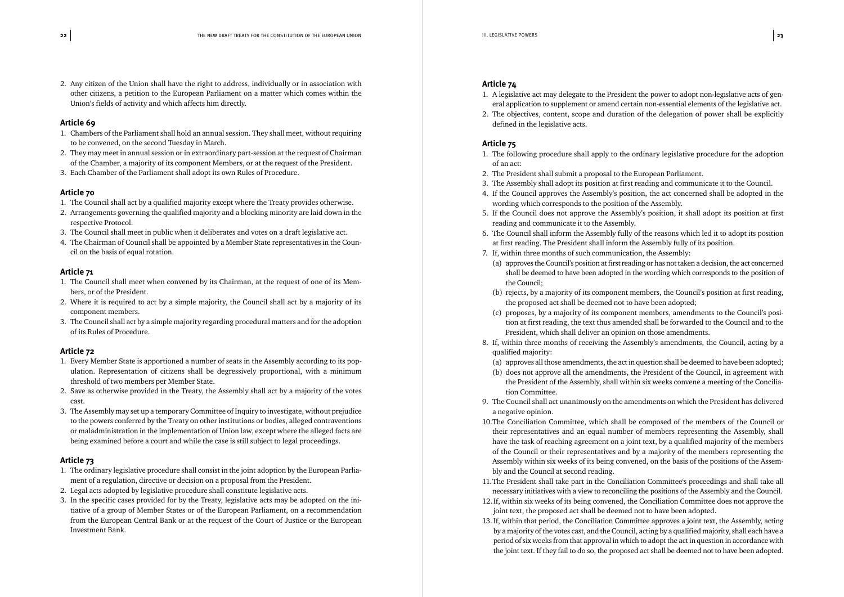2. Any citizen of the Union shall have the right to address, individually or in association with other citizens, a petition to the European Parliament on a matter which comes within the Union's fields of activity and which affects him directly.

#### **Article 69**

- 1. Chambers of the Parliament shall hold an annual session. They shall meet, without requiring to be convened, on the second Tuesday in March.
- 2. They may meet in annual session or in extraordinary part-session at the request of Chairman of the Chamber, a majority of its component Members, or at the request of the President.
- 3. Each Chamber of the Parliament shall adopt its own Rules of Procedure.

#### **Article 70**

- 1. The Council shall act by a qualified majority except where the Treaty provides otherwise.
- 2. Arrangements governing the qualified majority and a blocking minority are laid down in the respective Protocol.
- 3. The Council shall meet in public when it deliberates and votes on a draft legislative act.
- 4. The Chairman of Council shall be appointed by a Member State representatives in the Council on the basis of equal rotation.

#### **Article 71**

- 1. The Council shall meet when convened by its Chairman, at the request of one of its Members, or of the President.
- 2. Where it is required to act by a simple majority, the Council shall act by a majority of its component members.
- 3. The Council shall act by a simple majority regarding procedural matters and for the adoption of its Rules of Procedure.

#### **Article 72**

- 1. Every Member State is apportioned a number of seats in the Assembly according to its population. Representation of citizens shall be degressively proportional, with a minimum threshold of two members per Member State.
- 2. Save as otherwise provided in the Treaty, the Assembly shall act by a majority of the votes cast.
- 3. The Assembly may set up a temporary Committee of Inquiry to investigate, without prejudice to the powers conferred by the Treaty on other institutions or bodies, alleged contraventions or maladministration in the implementation of Union law, except where the alleged facts are being examined before a court and while the case is still subject to legal proceedings.

#### **Article 73**

- 1. The ordinary legislative procedure shall consist in the joint adoption by the European Parliament of a regulation, directive or decision on a proposal from the President.
- 2. Legal acts adopted by legislative procedure shall constitute legislative acts.
- 3. In the specific cases provided for by the Treaty, legislative acts may be adopted on the initiative of a group of Member States or of the European Parliament, on a recommendation from the European Central Bank or at the request of the Court of Justice or the European Investment Bank.

#### **Article 74**

1. A legislative act may delegate to the President the power to adopt non-legislative acts of gen-2. The objectives, content, scope and duration of the delegation of power shall be explicitly

- eral application to supplement or amend certain non-essential elements of the legislative act.
- defined in the legislative acts.

#### **Article 75**

3. The Assembly shall adopt its position at first reading and communicate it to the Council.

4. If the Council approves the Assembly's position, the act concerned shall be adopted in the

shall be deemed to have been adopted in the wording which corresponds to the position of

(b) rejects, by a majority of its component members, the Council's position at first reading,

(c) proposes, by a majority of its component members, amendments to the Council's position at first reading, the text thus amended shall be forwarded to the Council and to the

- 1. The following procedure shall apply to the ordinary legislative procedure for the adoption of an act:
- 2. The President shall submit a proposal to the European Parliament.
- 
- wording which corresponds to the position of the Assembly.
- 5. If the Council does not approve the Assembly's position, it shall adopt its position at first reading and communicate it to the Assembly.
- 6. The Council shall inform the Assembly fully of the reasons which led it to adopt its position at first reading. The President shall inform the Assembly fully of its position.
- 7. If, within three months of such communication, the Assembly:
	- (a) approves the Council's position at first reading or has not taken a decision, the act concerned the Council;
	- the proposed act shall be deemed not to have been adopted;
	- President, which shall deliver an opinion on those amendments.
- 8. If, within three months of receiving the Assembly's amendments, the Council, acting by a qualified majority:
	-
	- tion Committee.
- 9. The Council shall act unanimously on the amendments on which the President has delivered a negative opinion.
- 10.The Conciliation Committee, which shall be composed of the members of the Council or have the task of reaching agreement on a joint text, by a qualified majority of the members of the Council or their representatives and by a majority of the members representing the Assembly within six weeks of its being convened, on the basis of the positions of the Assembly and the Council at second reading.
- 11.The President shall take part in the Conciliation Committee's proceedings and shall take all necessary initiatives with a view to reconciling the positions of the Assembly and the Council.
- 12.If, within six weeks of its being convened, the Conciliation Committee does not approve the joint text, the proposed act shall be deemed not to have been adopted.
- 13.If, within that period, the Conciliation Committee approves a joint text, the Assembly, acting the joint text. If they fail to do so, the proposed act shall be deemed not to have been adopted.

(a) approves all those amendments, the act in question shall be deemed to have been adopted; (b) does not approve all the amendments, the President of the Council, in agreement with the President of the Assembly, shall within six weeks convene a meeting of the Concilia-

their representatives and an equal number of members representing the Assembly, shall

by a majority of the votes cast, and the Council, acting by a qualified majority, shall each have a period of six weeks from that approval in which to adopt the act in question in accordance with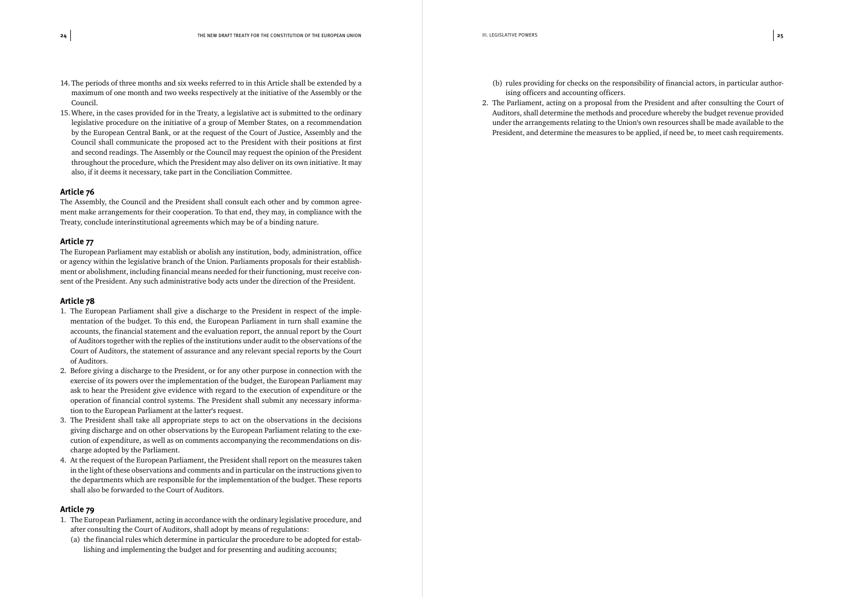- 14. The periods of three months and six weeks referred to in this Article shall be extended by a maximum of one month and two weeks respectively at the initiative of the Assembly or the Council.
- 15.Where, in the cases provided for in the Treaty, a legislative act is submitted to the ordinary legislative procedure on the initiative of a group of Member States, on a recommendation by the European Central Bank, or at the request of the Court of Justice, Assembly and the Council shall communicate the proposed act to the President with their positions at first and second readings. The Assembly or the Council may request the opinion of the President throughout the procedure, which the President may also deliver on its own initiative. It may also, if it deems it necessary, take part in the Conciliation Committee.

The Assembly, the Council and the President shall consult each other and by common agreement make arrangements for their cooperation. To that end, they may, in compliance with the Treaty, conclude interinstitutional agreements which may be of a binding nature.

#### **Article 77**

The European Parliament may establish or abolish any institution, body, administration, office or agency within the legislative branch of the Union. Parliaments proposals for their establishment or abolishment, including financial means needed for their functioning, must receive consent of the President. Any such administrative body acts under the direction of the President.

#### **Article 78**

- 1. The European Parliament shall give a discharge to the President in respect of the implementation of the budget. To this end, the European Parliament in turn shall examine the accounts, the financial statement and the evaluation report, the annual report by the Court of Auditors together with the replies of the institutions under audit to the observations of the Court of Auditors, the statement of assurance and any relevant special reports by the Court of Auditors.
- 2. Before giving a discharge to the President, or for any other purpose in connection with the exercise of its powers over the implementation of the budget, the European Parliament may ask to hear the President give evidence with regard to the execution of expenditure or the operation of financial control systems. The President shall submit any necessary information to the European Parliament at the latter's request.
- 3. The President shall take all appropriate steps to act on the observations in the decisions giving discharge and on other observations by the European Parliament relating to the execution of expenditure, as well as on comments accompanying the recommendations on discharge adopted by the Parliament.
- 4. At the request of the European Parliament, the President shall report on the measures taken in the light of these observations and comments and in particular on the instructions given to the departments which are responsible for the implementation of the budget. These reports shall also be forwarded to the Court of Auditors.

#### **Article 79**

- 1. The European Parliament, acting in accordance with the ordinary legislative procedure, and after consulting the Court of Auditors, shall adopt by means of regulations:
	- (a) the financial rules which determine in particular the procedure to be adopted for establishing and implementing the budget and for presenting and auditing accounts;

(b) rules providing for checks on the responsibility of financial actors, in particular author-

- ising officers and accounting officers.
- 2. The Parliament, acting on a proposal from the President and after consulting the Court of Auditors, shall determine the methods and procedure whereby the budget revenue provided President, and determine the measures to be applied, if need be, to meet cash requirements.

under the arrangements relating to the Union's own resources shall be made available to the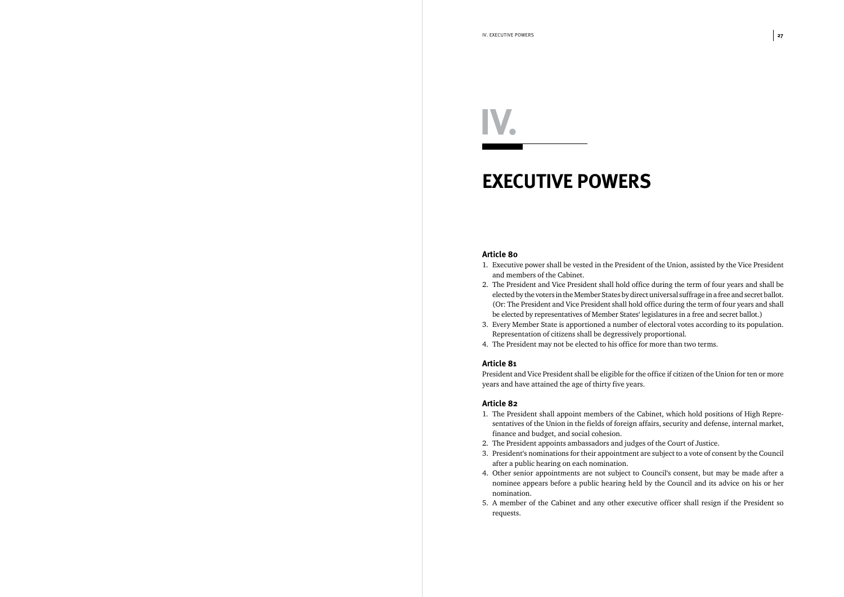### *EXECUTIVE POWERS*

#### **Article 80**

elected by the voters in the Member States by direct universal suffrage in a free and secret ballot. (Or: The President and Vice President shall hold office during the term of four years and shall

- 1. Executive power shall be vested in the President of the Union, assisted by the Vice President and members of the Cabinet.
- 2. The President and Vice President shall hold office during the term of four years and shall be be elected by representatives of Member States' legislatures in a free and secret ballot.)
- 3. Every Member State is apportioned a number of electoral votes according to its population. Representation of citizens shall be degressively proportional.
- 4. The President may not be elected to his office for more than two terms.

#### **Article 81**

President and Vice President shall be eligible for the office if citizen of the Union for ten or more years and have attained the age of thirty five years.

#### **Article 82**

3. President's nominations for their appointment are subject to a vote of consent by the Council

- 1. The President shall appoint members of the Cabinet, which hold positions of High Representatives of the Union in the fields of foreign affairs, security and defense, internal market, finance and budget, and social cohesion.
- 2. The President appoints ambassadors and judges of the Court of Justice.
- after a public hearing on each nomination.
- nomination.
- requests.

4. Other senior appointments are not subject to Council's consent, but may be made after a nominee appears before a public hearing held by the Council and its advice on his or her

5. A member of the Cabinet and any other executive officer shall resign if the President so

# *IV.*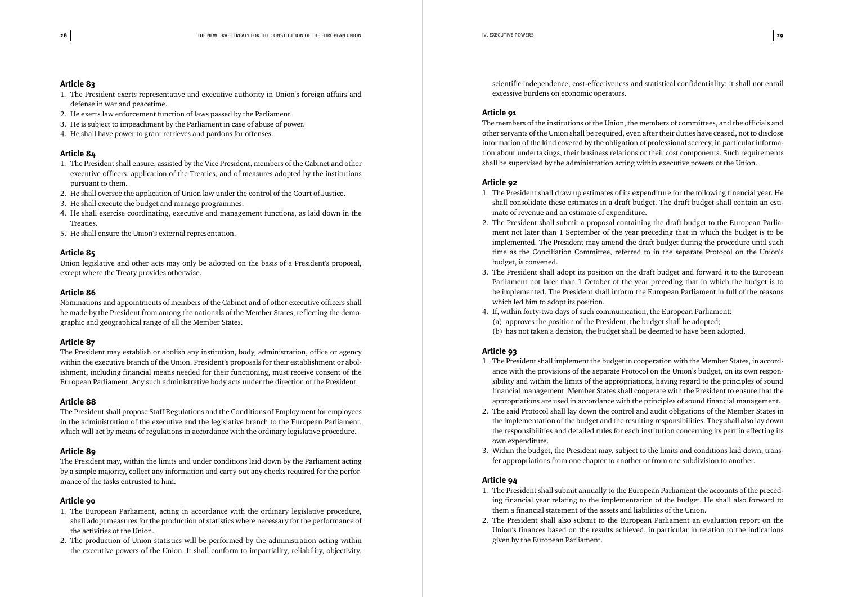- 1. The President exerts representative and executive authority in Union's foreign affairs and defense in war and peacetime.
- 2. He exerts law enforcement function of laws passed by the Parliament.
- 3. He is subject to impeachment by the Parliament in case of abuse of power.
- 4. He shall have power to grant retrieves and pardons for offenses.

#### **Article 84**

- 1. The President shall ensure, assisted by the Vice President, members of the Cabinet and other executive officers, application of the Treaties, and of measures adopted by the institutions pursuant to them.
- 2. He shall oversee the application of Union law under the control of the Court of Justice.
- 3. He shall execute the budget and manage programmes.
- 4. He shall exercise coordinating, executive and management functions, as laid down in the Treaties.
- 5. He shall ensure the Union's external representation.

#### **Article 85**

Union legislative and other acts may only be adopted on the basis of a President's proposal, except where the Treaty provides otherwise.

#### **Article 86**

Nominations and appointments of members of the Cabinet and of other executive officers shall be made by the President from among the nationals of the Member States, reflecting the demographic and geographical range of all the Member States.

#### **Article 87**

The President may establish or abolish any institution, body, administration, office or agency within the executive branch of the Union. President's proposals for their establishment or abolishment, including financial means needed for their functioning, must receive consent of the European Parliament. Any such administrative body acts under the direction of the President.

#### **Article 88**

The President shall propose Staff Regulations and the Conditions of Employment for employees in the administration of the executive and the legislative branch to the European Parliament, which will act by means of regulations in accordance with the ordinary legislative procedure.

#### **Article 89**

The President may, within the limits and under conditions laid down by the Parliament acting by a simple majority, collect any information and carry out any checks required for the performance of the tasks entrusted to him.

#### **Article 90**

- 1. The European Parliament, acting in accordance with the ordinary legislative procedure, shall adopt measures for the production of statistics where necessary for the performance of the activities of the Union.
- 2. The production of Union statistics will be performed by the administration acting within the executive powers of the Union. It shall conform to impartiality, reliability, objectivity,

scientific independence, cost-effectiveness and statistical confidentiality; it shall not entail excessive burdens on economic operators.

#### **Article 91**

The members of the institutions of the Union, the members of committees, and the officials and other servants of the Union shall be required, even after their duties have ceased, not to disclose information of the kind covered by the obligation of professional secrecy, in particular information about undertakings, their business relations or their cost components. Such requirements shall be supervised by the administration acting within executive powers of the Union.

#### **Article 92**

shall consolidate these estimates in a draft budget. The draft budget shall contain an esti-

ment not later than 1 September of the year preceding that in which the budget is to be implemented. The President may amend the draft budget during the procedure until such time as the Conciliation Committee, referred to in the separate Protocol on the Union's

- 1. The President shall draw up estimates of its expenditure for the following financial year. He mate of revenue and an estimate of expenditure.
- 2. The President shall submit a proposal containing the draft budget to the European Parliabudget, is convened.
- be implemented. The President shall inform the European Parliament in full of the reasons which led him to adopt its position.
- 4. If, within forty-two days of such communication, the European Parliament: (a) approves the position of the President, the budget shall be adopted; (b) has not taken a decision, the budget shall be deemed to have been adopted.

3. The President shall adopt its position on the draft budget and forward it to the European Parliament not later than 1 October of the year preceding that in which the budget is to

#### **Article 93**

ance with the provisions of the separate Protocol on the Union's budget, on its own respon-2. The said Protocol shall lay down the control and audit obligations of the Member States in the implementation of the budget and the resulting responsibilities. They shall also lay down the responsibilities and detailed rules for each institution concerning its part in effecting its

- 1. The President shall implement the budget in cooperation with the Member States, in accordsibility and within the limits of the appropriations, having regard to the principles of sound financial management. Member States shall cooperate with the President to ensure that the appropriations are used in accordance with the principles of sound financial management.
- own expenditure.
- fer appropriations from one chapter to another or from one subdivision to another.

3. Within the budget, the President may, subject to the limits and conditions laid down, trans-

#### **Article 94**

1. The President shall submit annually to the European Parliament the accounts of the preceding financial year relating to the implementation of the budget. He shall also forward to

- them a financial statement of the assets and liabilities of the Union.
- given by the European Parliament.

2. The President shall also submit to the European Parliament an evaluation report on the Union's finances based on the results achieved, in particular in relation to the indications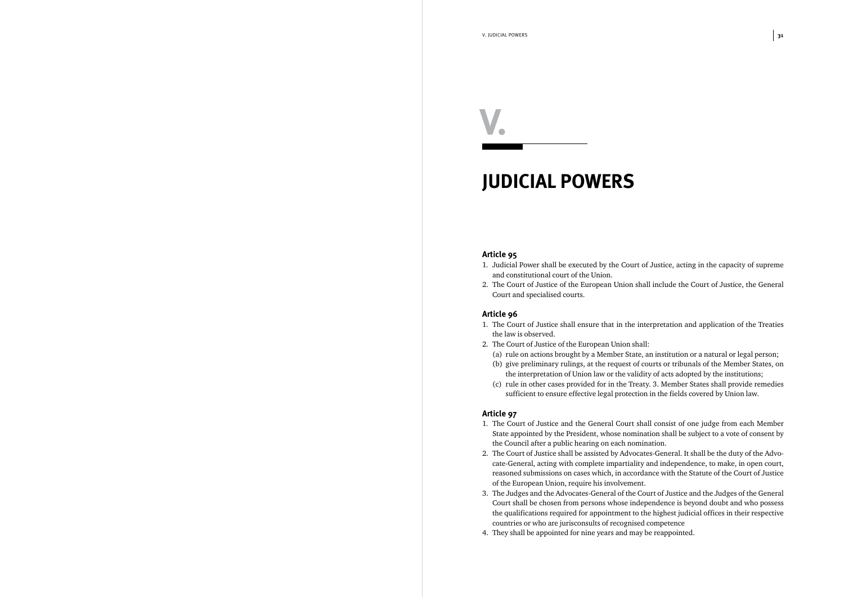### *JUDICIAL POWERS*

#### **Article 95**

- 1. Judicial Power shall be executed by the Court of Justice, acting in the capacity of supreme and constitutional court of the Union.
- 2. The Court of Justice of the European Union shall include the Court of Justice, the General Court and specialised courts.

#### **Article 96**

- 1. The Court of Justice shall ensure that in the interpretation and application of the Treaties the law is observed.
- 2. The Court of Justice of the European Union shall: (a) rule on actions brought by a Member State, an institution or a natural or legal person;
	- (b) give preliminary rulings, at the request of courts or tribunals of the Member States, on the interpretation of Union law or the validity of acts adopted by the institutions;
	- sufficient to ensure effective legal protection in the fields covered by Union law.

(c) rule in other cases provided for in the Treaty. 3. Member States shall provide remedies

#### **Article 97**

cate-General, acting with complete impartiality and independence, to make, in open court,

- 1. The Court of Justice and the General Court shall consist of one judge from each Member State appointed by the President, whose nomination shall be subject to a vote of consent by the Council after a public hearing on each nomination.
- 2. The Court of Justice shall be assisted by Advocates-General. It shall be the duty of the Advoreasoned submissions on cases which, in accordance with the Statute of the Court of Justice of the European Union, require his involvement.
- countries or who are jurisconsults of recognised competence
- 4. They shall be appointed for nine years and may be reappointed.

3. The Judges and the Advocates-General of the Court of Justice and the Judges of the General Court shall be chosen from persons whose independence is beyond doubt and who possess the qualifications required for appointment to the highest judicial offices in their respective

*V.*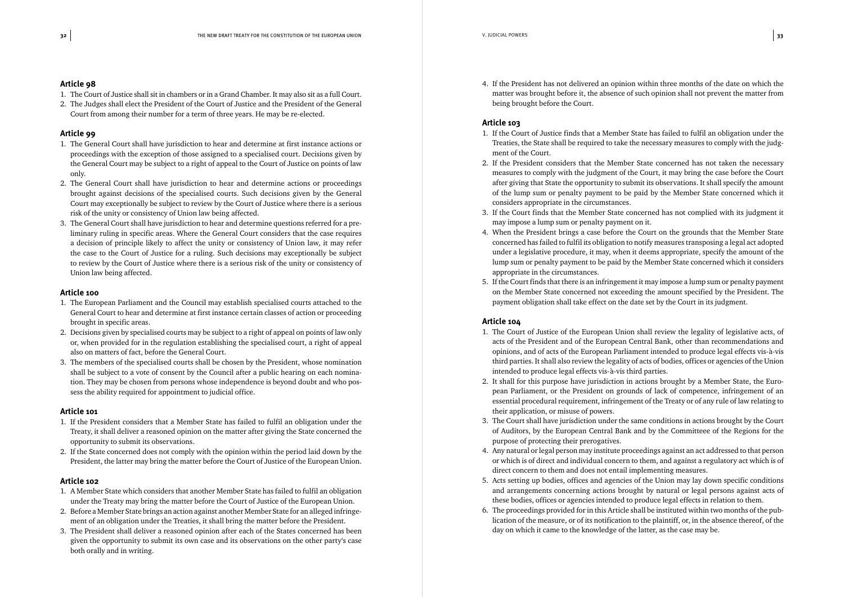- 1. The Court of Justice shall sit in chambers or in a Grand Chamber. It may also sit as a full Court.
- 2. The Judges shall elect the President of the Court of Justice and the President of the General Court from among their number for a term of three years. He may be re-elected.

#### **Article 99**

- 1. The General Court shall have jurisdiction to hear and determine at first instance actions or proceedings with the exception of those assigned to a specialised court. Decisions given by the General Court may be subject to a right of appeal to the Court of Justice on points of law only.
- 2. The General Court shall have jurisdiction to hear and determine actions or proceedings brought against decisions of the specialised courts. Such decisions given by the General Court may exceptionally be subject to review by the Court of Justice where there is a serious risk of the unity or consistency of Union law being affected.
- 3. The General Court shall have jurisdiction to hear and determine questions referred for a preliminary ruling in specific areas. Where the General Court considers that the case requires a decision of principle likely to affect the unity or consistency of Union law, it may refer the case to the Court of Justice for a ruling. Such decisions may exceptionally be subject to review by the Court of Justice where there is a serious risk of the unity or consistency of Union law being affected.

#### **Article 100**

- 1. The European Parliament and the Council may establish specialised courts attached to the General Court to hear and determine at first instance certain classes of action or proceeding brought in specific areas.
- 2. Decisions given by specialised courts may be subject to a right of appeal on points of law only or, when provided for in the regulation establishing the specialised court, a right of appeal also on matters of fact, before the General Court.
- 3. The members of the specialised courts shall be chosen by the President, whose nomination shall be subject to a vote of consent by the Council after a public hearing on each nomination. They may be chosen from persons whose independence is beyond doubt and who possess the ability required for appointment to judicial office.

#### **Article 101**

- 1. If the President considers that a Member State has failed to fulfil an obligation under the Treaty, it shall deliver a reasoned opinion on the matter after giving the State concerned the opportunity to submit its observations.
- 2. If the State concerned does not comply with the opinion within the period laid down by the President, the latter may bring the matter before the Court of Justice of the European Union.

#### **Article 102**

- 1. A Member State which considers that another Member State has failed to fulfil an obligation under the Treaty may bring the matter before the Court of Justice of the European Union.
- 2. Before a Member State brings an action against another Member State for an alleged infringement of an obligation under the Treaties, it shall bring the matter before the President.
- 3. The President shall deliver a reasoned opinion after each of the States concerned has been given the opportunity to submit its own case and its observations on the other party's case both orally and in writing.

4. If the President has not delivered an opinion within three months of the date on which the matter was brought before it, the absence of such opinion shall not prevent the matter from

being brought before the Court.

#### **Article 103**

2. If the President considers that the Member State concerned has not taken the necessary measures to comply with the judgment of the Court, it may bring the case before the Court after giving that State the opportunity to submit its observations. It shall specify the amount

- 1. If the Court of Justice finds that a Member State has failed to fulfil an obligation under the Treaties, the State shall be required to take the necessary measures to comply with the judgment of the Court.
- of the lump sum or penalty payment to be paid by the Member State concerned which it considers appropriate in the circumstances.
- 3. If the Court finds that the Member State concerned has not complied with its judgment it may impose a lump sum or penalty payment on it.
- 4. When the President brings a case before the Court on the grounds that the Member State lump sum or penalty payment to be paid by the Member State concerned which it considers appropriate in the circumstances.
- payment obligation shall take effect on the date set by the Court in its judgment.

concerned has failed to fulfil its obligation to notify measures transposing a legal act adopted under a legislative procedure, it may, when it deems appropriate, specify the amount of the

5. If the Court finds that there is an infringement it may impose a lump sum or penalty payment on the Member State concerned not exceeding the amount specified by the President. The

#### **Article 104**

1. The Court of Justice of the European Union shall review the legality of legislative acts, of

pean Parliament, or the President on grounds of lack of competence, infringement of an

3. The Court shall have jurisdiction under the same conditions in actions brought by the Court

- acts of the President and of the European Central Bank, other than recommendations and opinions, and of acts of the European Parliament intended to produce legal effects vis-à-vis third parties. It shall also review the legality of acts of bodies, offices or agencies of the Union intended to produce legal effects vis-à-vis third parties.
- 2. It shall for this purpose have jurisdiction in actions brought by a Member State, the Euroessential procedural requirement, infringement of the Treaty or of any rule of law relating to their application, or misuse of powers.
- of Auditors, by the European Central Bank and by the Committeee of the Regions for the purpose of protecting their prerogatives.
- or which is of direct and individual concern to them, and against a regulatory act which is of direct concern to them and does not entail implementing measures.
- 5. Acts setting up bodies, offices and agencies of the Union may lay down specific conditions and arrangements concerning actions brought by natural or legal persons against acts of these bodies, offices or agencies intended to produce legal effects in relation to them.
- day on which it came to the knowledge of the latter, as the case may be.

4. Any natural or legal person may institute proceedings against an act addressed to that person

6. The proceedings provided for in this Article shall be instituted within two months of the publication of the measure, or of its notification to the plaintiff, or, in the absence thereof, of the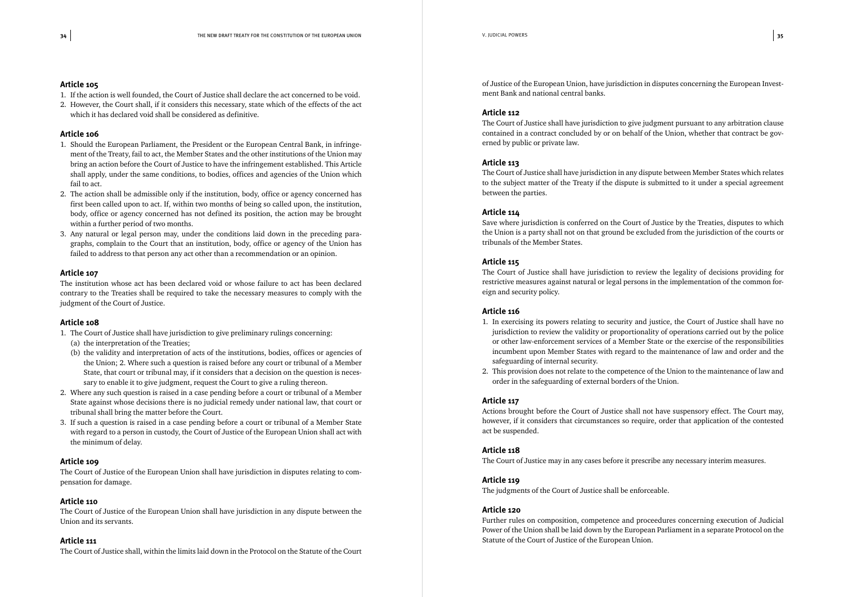- 1. If the action is well founded, the Court of Justice shall declare the act concerned to be void.
- 2. However, the Court shall, if it considers this necessary, state which of the effects of the act which it has declared void shall be considered as definitive.

#### **Article 106**

- 1. Should the European Parliament, the President or the European Central Bank, in infringement of the Treaty, fail to act, the Member States and the other institutions of the Union may bring an action before the Court of Justice to have the infringement established. This Article shall apply, under the same conditions, to bodies, offices and agencies of the Union which fail to act.
- 2. The action shall be admissible only if the institution, body, office or agency concerned has first been called upon to act. If, within two months of being so called upon, the institution, body, office or agency concerned has not defined its position, the action may be brought within a further period of two months.
- 3. Any natural or legal person may, under the conditions laid down in the preceding paragraphs, complain to the Court that an institution, body, office or agency of the Union has failed to address to that person any act other than a recommendation or an opinion.

#### **Article 107**

The institution whose act has been declared void or whose failure to act has been declared contrary to the Treaties shall be required to take the necessary measures to comply with the judgment of the Court of Justice.

#### **Article 108**

- 1. The Court of Justice shall have jurisdiction to give preliminary rulings concerning:
	- (a) the interpretation of the Treaties;
	- (b) the validity and interpretation of acts of the institutions, bodies, offices or agencies of the Union; 2. Where such a question is raised before any court or tribunal of a Member State, that court or tribunal may, if it considers that a decision on the question is necessary to enable it to give judgment, request the Court to give a ruling thereon.
- 2. Where any such question is raised in a case pending before a court or tribunal of a Member State against whose decisions there is no judicial remedy under national law, that court or tribunal shall bring the matter before the Court.
- 3. If such a question is raised in a case pending before a court or tribunal of a Member State with regard to a person in custody, the Court of Justice of the European Union shall act with the minimum of delay.

#### **Article 109**

The Court of Justice of the European Union shall have jurisdiction in disputes relating to compensation for damage.

#### **Article 110**

The Court of Justice of the European Union shall have jurisdiction in any dispute between the Union and its servants.

#### **Article 111**

The Court of Justice shall, within the limits laid down in the Protocol on the Statute of the Court

of Justice of the European Union, have jurisdiction in disputes concerning the European Investment Bank and national central banks.

#### **Article 112**

The Court of Justice shall have jurisdiction to give judgment pursuant to any arbitration clause contained in a contract concluded by or on behalf of the Union, whether that contract be governed by public or private law.

#### **Article 113**

The Court of Justice shall have jurisdiction in any dispute between Member States which relates to the subject matter of the Treaty if the dispute is submitted to it under a special agreement between the parties.

#### **Article 114**

Save where jurisdiction is conferred on the Court of Justice by the Treaties, disputes to which the Union is a party shall not on that ground be excluded from the jurisdiction of the courts or tribunals of the Member States.

#### **Article 115**

The Court of Justice shall have jurisdiction to review the legality of decisions providing for restrictive measures against natural or legal persons in the implementation of the common foreign and security policy.

#### **Article 116**

- 1. In exercising its powers relating to security and justice, the Court of Justice shall have no jurisdiction to review the validity or proportionality of operations carried out by the police or other law-enforcement services of a Member State or the exercise of the responsibilities safeguarding of internal security.
- order in the safeguarding of external borders of the Union.

incumbent upon Member States with regard to the maintenance of law and order and the

2. This provision does not relate to the competence of the Union to the maintenance of law and

#### **Article 117**

Actions brought before the Court of Justice shall not have suspensory effect. The Court may, however, if it considers that circumstances so require, order that application of the contested act be suspended.

#### **Article 118**

The Court of Justice may in any cases before it prescribe any necessary interim measures.

#### **Article 119**

The judgments of the Court of Justice shall be enforceable.

#### **Article 120**

Further rules on composition, competence and proceedures concerning execution of Judicial Power of the Union shall be laid down by the European Parliament in a separate Protocol on the Statute of the Court of Justice of the European Union.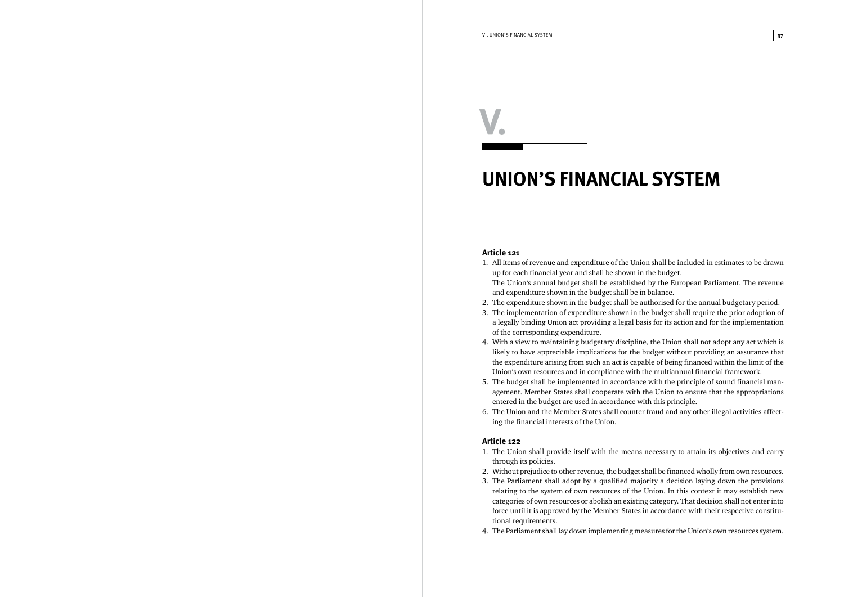### *UNION'S FINANCIAL SYSTEM*

#### **Article 121**

a legally binding Union act providing a legal basis for its action and for the implementation

- 1. All items of revenue and expenditure of the Union shall be included in estimates to be drawn up for each financial year and shall be shown in the budget. The Union's annual budget shall be established by the European Parliament. The revenue and expenditure shown in the budget shall be in balance.
- 2. The expenditure shown in the budget shall be authorised for the annual budgetary period.
- 3. The implementation of expenditure shown in the budget shall require the prior adoption of of the corresponding expenditure.
- 4. With a view to maintaining budgetary discipline, the Union shall not adopt any act which is likely to have appreciable implications for the budget without providing an assurance that the expenditure arising from such an act is capable of being financed within the limit of the Union's own resources and in compliance with the multiannual financial framework.
- agement. Member States shall cooperate with the Union to ensure that the appropriations entered in the budget are used in accordance with this principle.
- ing the financial interests of the Union.

5. The budget shall be implemented in accordance with the principle of sound financial man-

6. The Union and the Member States shall counter fraud and any other illegal activities affect-

#### **Article 122**

2. Without prejudice to other revenue, the budget shall be financed wholly from own resources. 3. The Parliament shall adopt by a qualified majority a decision laying down the provisions relating to the system of own resources of the Union. In this context it may establish new categories of own resources or abolish an existing category. That decision shall not enter into

- 1. The Union shall provide itself with the means necessary to attain its objectives and carry through its policies.
- 
- force until it is approved by the Member States in accordance with their respective constitutional requirements.
- 4. The Parliament shall lay down implementing measures for the Union's own resources system.

*V.*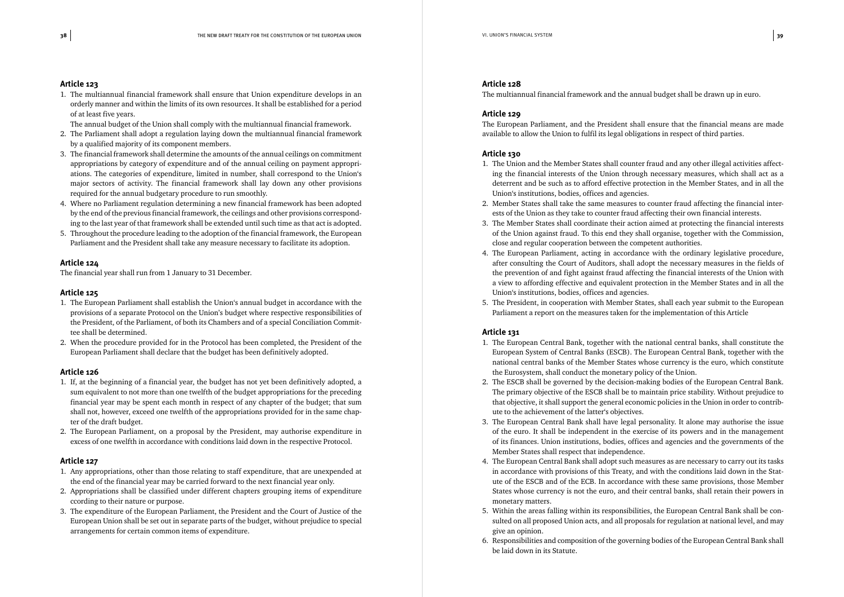1. The multiannual financial framework shall ensure that Union expenditure develops in an orderly manner and within the limits of its own resources. It shall be established for a period of at least five years.

The annual budget of the Union shall comply with the multiannual financial framework.

- 2. The Parliament shall adopt a regulation laying down the multiannual financial framework by a qualified majority of its component members.
- 3. The financial framework shall determine the amounts of the annual ceilings on commitment appropriations by category of expenditure and of the annual ceiling on payment appropriations. The categories of expenditure, limited in number, shall correspond to the Union's major sectors of activity. The financial framework shall lay down any other provisions required for the annual budgetary procedure to run smoothly.
- 4. Where no Parliament regulation determining a new financial framework has been adopted by the end of the previous financial framework, the ceilings and other provisions corresponding to the last year of that framework shall be extended until such time as that act is adopted.
- 5. Throughout the procedure leading to the adoption of the financial framework, the European Parliament and the President shall take any measure necessary to facilitate its adoption.

#### **Article 124**

The financial year shall run from 1 January to 31 December.

#### **Article 125**

- 1. The European Parliament shall establish the Union's annual budget in accordance with the provisions of a separate Protocol on the Union's budget where respective responsibilities of the President, of the Parliament, of both its Chambers and of a special Conciliation Committee shall be determined.
- 2. When the procedure provided for in the Protocol has been completed, the President of the European Parliament shall declare that the budget has been definitively adopted.

#### **Article 126**

- 1. If, at the beginning of a financial year, the budget has not yet been definitively adopted, a sum equivalent to not more than one twelfth of the budget appropriations for the preceding financial year may be spent each month in respect of any chapter of the budget; that sum shall not, however, exceed one twelfth of the appropriations provided for in the same chapter of the draft budget.
- 2. The European Parliament, on a proposal by the President, may authorise expenditure in excess of one twelfth in accordance with conditions laid down in the respective Protocol.

#### **Article 127**

- 1. Any appropriations, other than those relating to staff expenditure, that are unexpended at the end of the financial year may be carried forward to the next financial year only.
- 2. Appropriations shall be classified under different chapters grouping items of expenditure ccording to their nature or purpose.
- 3. The expenditure of the European Parliament, the President and the Court of Justice of the European Union shall be set out in separate parts of the budget, without prejudice to special arrangements for certain common items of expenditure.

#### **Article 128**

The multiannual financial framework and the annual budget shall be drawn up in euro.

#### **Article 129**

The European Parliament, and the President shall ensure that the financial means are made available to allow the Union to fulfil its legal obligations in respect of third parties.

#### **Article 130**

ing the financial interests of the Union through necessary measures, which shall act as a deterrent and be such as to afford effective protection in the Member States, and in all the

of the Union against fraud. To this end they shall organise, together with the Commission,

- 1. The Union and the Member States shall counter fraud and any other illegal activities affect-Union's institutions, bodies, offices and agencies.
- 2. Member States shall take the same measures to counter fraud affecting the financial interests of the Union as they take to counter fraud affecting their own financial interests.
- 3. The Member States shall coordinate their action aimed at protecting the financial interests close and regular cooperation between the competent authorities.
- 4. The European Parliament, acting in accordance with the ordinary legislative procedure, Union's institutions, bodies, offices and agencies.
- Parliament a report on the measures taken for the implementation of this Article

after consulting the Court of Auditors, shall adopt the necessary measures in the fields of the prevention of and fight against fraud affecting the financial interests of the Union with a view to affording effective and equivalent protection in the Member States and in all the

5. The President, in cooperation with Member States, shall each year submit to the European

#### **Article 131**

1. The European Central Bank, together with the national central banks, shall constitute the European System of Central Banks (ESCB). The European Central Bank, together with the

The primary objective of the ESCB shall be to maintain price stability. Without prejudice to

3. The European Central Bank shall have legal personality. It alone may authorise the issue

- national central banks of the Member States whose currency is the euro, which constitute the Eurosystem, shall conduct the monetary policy of the Union.
- 2. The ESCB shall be governed by the decision-making bodies of the European Central Bank. that objective, it shall support the general economic policies in the Union in order to contribute to the achievement of the latter's objectives.
- of the euro. It shall be independent in the exercise of its powers and in the management of its finances. Union institutions, bodies, offices and agencies and the governments of the Member States shall respect that independence.
- in accordance with provisions of this Treaty, and with the conditions laid down in the Stat-States whose currency is not the euro, and their central banks, shall retain their powers in monetary matters.
- give an opinion.
- 6. Responsibilities and composition of the governing bodies of the European Central Bank shall be laid down in its Statute.

4. The European Central Bank shall adopt such measures as are necessary to carry out its tasks ute of the ESCB and of the ECB. In accordance with these same provisions, those Member

5. Within the areas falling within its responsibilities, the European Central Bank shall be consulted on all proposed Union acts, and all proposals for regulation at national level, and may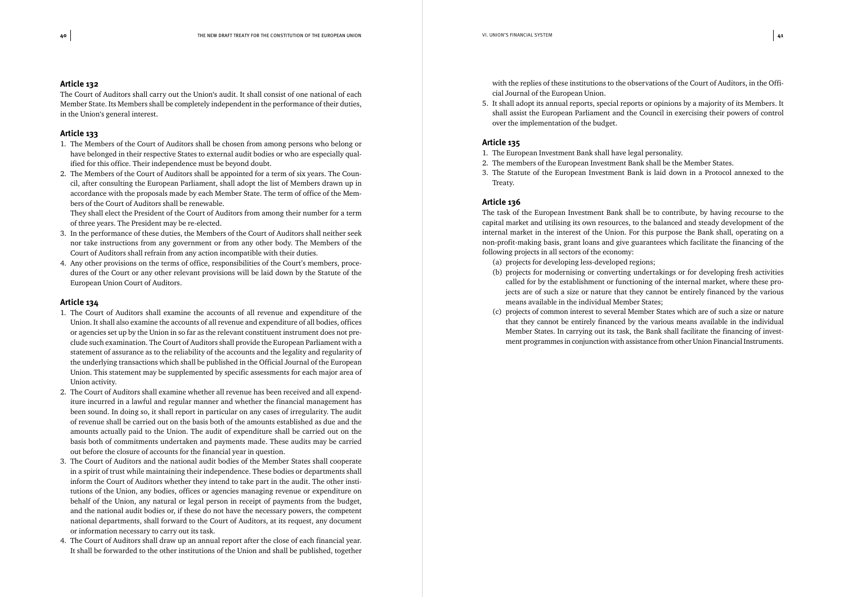The Court of Auditors shall carry out the Union's audit. It shall consist of one national of each Member State. Its Members shall be completely independent in the performance of their duties, in the Union's general interest.

#### **Article 133**

- 1. The Members of the Court of Auditors shall be chosen from among persons who belong or have belonged in their respective States to external audit bodies or who are especially qualified for this office. Their independence must be beyond doubt.
- 2. The Members of the Court of Auditors shall be appointed for a term of six years. The Council, after consulting the European Parliament, shall adopt the list of Members drawn up in accordance with the proposals made by each Member State. The term of office of the Members of the Court of Auditors shall be renewable.

They shall elect the President of the Court of Auditors from among their number for a term of three years. The President may be re-elected.

- 3. In the performance of these duties, the Members of the Court of Auditors shall neither seek nor take instructions from any government or from any other body. The Members of the Court of Auditors shall refrain from any action incompatible with their duties.
- 4. Any other provisions on the terms of office, responsibilities of the Court's members, procedures of the Court or any other relevant provisions will be laid down by the Statute of the European Union Court of Auditors.

#### **Article 134**

- 1. The Court of Auditors shall examine the accounts of all revenue and expenditure of the Union. It shall also examine the accounts of all revenue and expenditure of all bodies, offices or agencies set up by the Union in so far as the relevant constituent instrument does not preclude such examination. The Court of Auditors shall provide the European Parliament with a statement of assurance as to the reliability of the accounts and the legality and regularity of the underlying transactions which shall be published in the Official Journal of the European Union. This statement may be supplemented by specific assessments for each major area of Union activity.
- 2. The Court of Auditors shall examine whether all revenue has been received and all expenditure incurred in a lawful and regular manner and whether the financial management has been sound. In doing so, it shall report in particular on any cases of irregularity. The audit of revenue shall be carried out on the basis both of the amounts established as due and the amounts actually paid to the Union. The audit of expenditure shall be carried out on the basis both of commitments undertaken and payments made. These audits may be carried out before the closure of accounts for the financial year in question.
- 3. The Court of Auditors and the national audit bodies of the Member States shall cooperate in a spirit of trust while maintaining their independence. These bodies or departments shall inform the Court of Auditors whether they intend to take part in the audit. The other institutions of the Union, any bodies, offices or agencies managing revenue or expenditure on behalf of the Union, any natural or legal person in receipt of payments from the budget, and the national audit bodies or, if these do not have the necessary powers, the competent national departments, shall forward to the Court of Auditors, at its request, any document or information necessary to carry out its task.
- 4. The Court of Auditors shall draw up an annual report after the close of each financial year. It shall be forwarded to the other institutions of the Union and shall be published, together

with the replies of these institutions to the observations of the Court of Auditors, in the Official Journal of the European Union.

5. It shall adopt its annual reports, special reports or opinions by a majority of its Members. It over the implementation of the budget.

shall assist the European Parliament and the Council in exercising their powers of control

#### **Article 135**

- 1. The European Investment Bank shall have legal personality.
- 2. The members of the European Investment Bank shall be the Member States.
- Treaty.

3. The Statute of the European Investment Bank is laid down in a Protocol annexed to the

#### **Article 136**

The task of the European Investment Bank shall be to contribute, by having recourse to the capital market and utilising its own resources, to the balanced and steady development of the internal market in the interest of the Union. For this purpose the Bank shall, operating on a non-profit-making basis, grant loans and give guarantees which facilitate the financing of the following projects in all sectors of the economy:

- (a) projects for developing less-developed regions;
- means available in the individual Member States;
- 

(b) projects for modernising or converting undertakings or for developing fresh activities called for by the establishment or functioning of the internal market, where these projects are of such a size or nature that they cannot be entirely financed by the various

(c) projects of common interest to several Member States which are of such a size or nature that they cannot be entirely financed by the various means available in the individual Member States. In carrying out its task, the Bank shall facilitate the financing of investment programmes in conjunction with assistance from other Union Financial Instruments.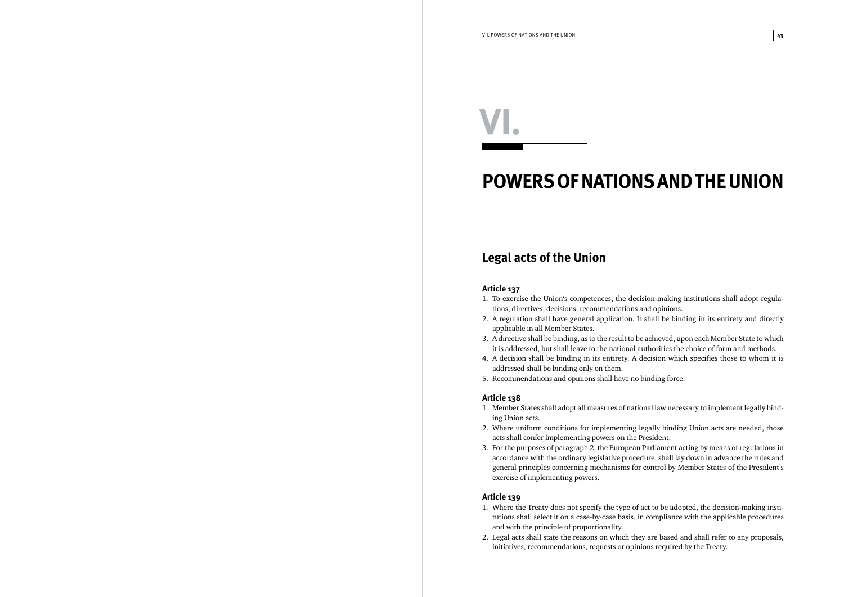## *POWERS OF NATIONS AND THE UNION*

#### *Legal acts of the Union*

#### **Article 137**

1. To exercise the Union's competences, the decision-making institutions shall adopt regula-

2. A regulation shall have general application. It shall be binding in its entirety and directly

3. A directive shall be binding, as to the result to be achieved, upon each Member State to which it is addressed, but shall leave to the national authorities the choice of form and methods.

- tions, directives, decisions, recommendations and opinions.
- applicable in all Member States.
- 
- 4. A decision shall be binding in its entirety. A decision which specifies those to whom it is addressed shall be binding only on them.
- 5. Recommendations and opinions shall have no binding force.

#### **Article 138**

1. Member States shall adopt all measures of national law necessary to implement legally bind-

2. Where uniform conditions for implementing legally binding Union acts are needed, those

- ing Union acts.
- acts shall confer implementing powers on the President.
- 3. For the purposes of paragraph 2, the European Parliament acting by means of regulations in exercise of implementing powers.

accordance with the ordinary legislative procedure, shall lay down in advance the rules and general principles concerning mechanisms for control by Member States of the President's

#### **Article 139**

1. Where the Treaty does not specify the type of act to be adopted, the decision-making institutions shall select it on a case-by-case basis, in compliance with the applicable procedures

2. Legal acts shall state the reasons on which they are based and shall refer to any proposals,

- and with the principle of proportionality.
- initiatives, recommendations, requests or opinions required by the Treaty.

# *VI.*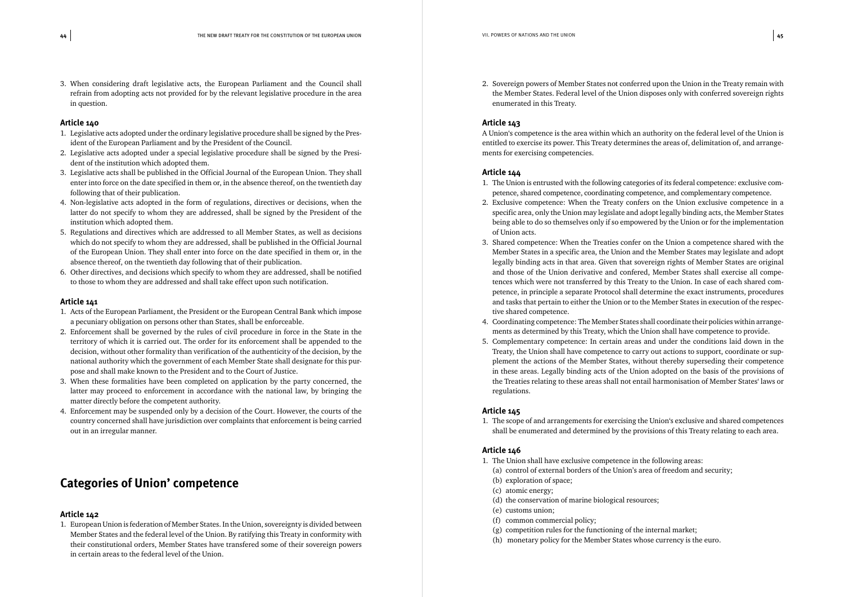3. When considering draft legislative acts, the European Parliament and the Council shall refrain from adopting acts not provided for by the relevant legislative procedure in the area in question.

#### **Article 140**

- 1. Legislative acts adopted under the ordinary legislative procedure shall be signed by the President of the European Parliament and by the President of the Council.
- 2. Legislative acts adopted under a special legislative procedure shall be signed by the President of the institution which adopted them.
- 3. Legislative acts shall be published in the Official Journal of the European Union. They shall enter into force on the date specified in them or, in the absence thereof, on the twentieth day following that of their publication.
- 4. Non-legislative acts adopted in the form of regulations, directives or decisions, when the latter do not specify to whom they are addressed, shall be signed by the President of the institution which adopted them.
- 5. Regulations and directives which are addressed to all Member States, as well as decisions which do not specify to whom they are addressed, shall be published in the Official Journal of the European Union. They shall enter into force on the date specified in them or, in the absence thereof, on the twentieth day following that of their publication.
- 6. Other directives, and decisions which specify to whom they are addressed, shall be notified to those to whom they are addressed and shall take effect upon such notification.

#### **Article 141**

- 1. Acts of the European Parliament, the President or the European Central Bank which impose a pecuniary obligation on persons other than States, shall be enforceable.
- 2. Enforcement shall be governed by the rules of civil procedure in force in the State in the territory of which it is carried out. The order for its enforcement shall be appended to the decision, without other formality than verification of the authenticity of the decision, by the national authority which the government of each Member State shall designate for this purpose and shall make known to the President and to the Court of Justice.
- 3. When these formalities have been completed on application by the party concerned, the latter may proceed to enforcement in accordance with the national law, by bringing the matter directly before the competent authority.
- 4. Enforcement may be suspended only by a decision of the Court. However, the courts of the country concerned shall have jurisdiction over complaints that enforcement is being carried out in an irregular manner.

#### *Categories of Union' competence*

#### **Article 142**

1. European Union is federation of Member States. In the Union, sovereignty is divided between Member States and the federal level of the Union. By ratifying this Treaty in conformity with their constitutional orders, Member States have transfered some of their sovereign powers in certain areas to the federal level of the Union.

2. Sovereign powers of Member States not conferred upon the Union in the Treaty remain with the Member States. Federal level of the Union disposes only with conferred sovereign rights

enumerated in this Treaty.

#### **Article 143**

A Union's competence is the area within which an authority on the federal level of the Union is entitled to exercise its power. This Treaty determines the areas of, delimitation of, and arrangements for exercising competencies.

#### **Article 144**

2. Exclusive competence: When the Treaty confers on the Union exclusive competence in a specific area, only the Union may legislate and adopt legally binding acts, the Member States

3. Shared competence: When the Treaties confer on the Union a competence shared with the Member States in a specific area, the Union and the Member States may legislate and adopt legally binding acts in that area. Given that sovereign rights of Member States are original and those of the Union derivative and confered, Member States shall exercise all competences which were not transferred by this Treaty to the Union. In case of each shared competence, in principle a separate Protocol shall determine the exact instruments, procedures

- 1. The Union is entrusted with the following categories of its federal competence: exclusive competence, shared competence, coordinating competence, and complementary competence.
- being able to do so themselves only if so empowered by the Union or for the implementation of Union acts.
- and tasks that pertain to either the Union or to the Member States in execution of the respective shared competence.
- ments as determined by this Treaty, which the Union shall have competence to provide.
- 5. Complementary competence: In certain areas and under the conditions laid down in the regulations.

4. Coordinating competence: The Member States shall coordinate their policies within arrange-

Treaty, the Union shall have competence to carry out actions to support, coordinate or supplement the actions of the Member States, without thereby superseding their competence in these areas. Legally binding acts of the Union adopted on the basis of the provisions of the Treaties relating to these areas shall not entail harmonisation of Member States' laws or

#### **Article 145**

1. The scope of and arrangements for exercising the Union's exclusive and shared competences shall be enumerated and determined by the provisions of this Treaty relating to each area.

#### **Article 146**

- 1. The Union shall have exclusive competence in the following areas: (a) control of external borders of the Union's area of freedom and security;
	- (b) exploration of space;
	- (c) atomic energy;
	- (d) the conservation of marine biological resources;
	- (e) customs union;
	- (f) common commercial policy;
	- (g) competition rules for the functioning of the internal market;
	- (h) monetary policy for the Member States whose currency is the euro.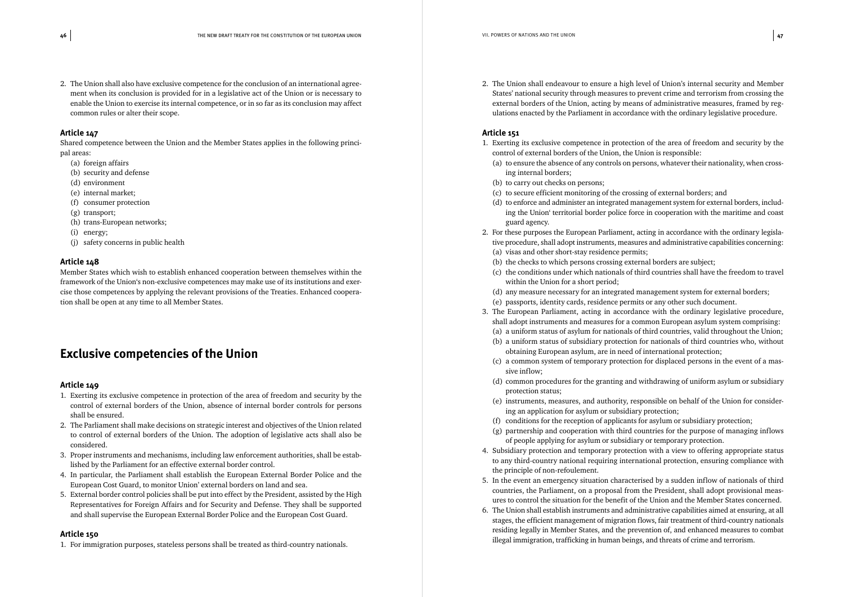2. The Union shall also have exclusive competence for the conclusion of an international agreement when its conclusion is provided for in a legislative act of the Union or is necessary to enable the Union to exercise its internal competence, or in so far as its conclusion may affect common rules or alter their scope.

#### **Article 147**

Shared competence between the Union and the Member States applies in the following principal areas:

- (a) foreign affairs
- (b) security and defense
- (d) environment
- (e) internal market;
- (f) consumer protection
- (g) transport;
- (h) trans-European networks;
- (i) energy;
- (j) safety concerns in public health

#### **Article 148**

Member States which wish to establish enhanced cooperation between themselves within the framework of the Union's non-exclusive competences may make use of its institutions and exercise those competences by applying the relevant provisions of the Treaties. Enhanced cooperation shall be open at any time to all Member States.

#### *Exclusive competencies of the Union*

#### **Article 149**

- 1. Exerting its exclusive competence in protection of the area of freedom and security by the control of external borders of the Union, absence of internal border controls for persons shall be ensured.
- 2. The Parliament shall make decisions on strategic interest and objectives of the Union related to control of external borders of the Union. The adoption of legislative acts shall also be considered.
- 3. Proper instruments and mechanisms, including law enforcement authorities, shall be established by the Parliament for an effective external border control.
- 4. In particular, the Parliament shall establish the European External Border Police and the European Cost Guard, to monitor Union' external borders on land and sea.
- 5. External border control policies shall be put into effect by the President, assisted by the High Representatives for Foreign Affairs and for Security and Defense. They shall be supported and shall supervise the European External Border Police and the European Cost Guard.

#### **Article 150**

1. For immigration purposes, stateless persons shall be treated as third-country nationals.

2. The Union shall endeavour to ensure a high level of Union's internal security and Member States' national security through measures to prevent crime and terrorism from crossing the external borders of the Union, acting by means of administrative measures, framed by reg-

ulations enacted by the Parliament in accordance with the ordinary legislative procedure.

#### **Article 151**

1. Exerting its exclusive competence in protection of the area of freedom and security by the

(a) to ensure the absence of any controls on persons, whatever their nationality, when cross-

(d) to enforce and administer an integrated management system for external borders, including the Union' territorial border police force in cooperation with the maritime and coast

2. For these purposes the European Parliament, acting in accordance with the ordinary legislative procedure, shall adopt instruments, measures and administrative capabilities concerning:

(c) the conditions under which nationals of third countries shall have the freedom to travel

3. The European Parliament, acting in accordance with the ordinary legislative procedure,

(a) a uniform status of asylum for nationals of third countries, valid throughout the Union; (b) a uniform status of subsidiary protection for nationals of third countries who, without

- control of external borders of the Union, the Union is responsible:
	- ing internal borders;
	- (b) to carry out checks on persons;
	- (c) to secure efficient monitoring of the crossing of external borders; and
	- guard agency.
- - (a) visas and other short-stay residence permits;
	- (b) the checks to which persons crossing external borders are subject;
	- within the Union for a short period;
	- (d) any measure necessary for an integrated management system for external borders;
	- (e) passports, identity cards, residence permits or any other such document.
- shall adopt instruments and measures for a common European asylum system comprising:
	- obtaining European asylum, are in need of international protection;
	- sive inflow;
	- protection status;
	- ing an application for asylum or subsidiary protection;
	- (f) conditions for the reception of applicants for asylum or subsidiary protection;
	-
- 4. Subsidiary protection and temporary protection with a view to offering appropriate status the principle of non-refoulement.
- 5. In the event an emergency situation characterised by a sudden inflow of nationals of third countries, the Parliament, on a proposal from the President, shall adopt provisional measures to control the situation for the benefit of the Union and the Member States concerned.
- 6. The Union shall establish instruments and administrative capabilities aimed at ensuring, at all illegal immigration, trafficking in human beings, and threats of crime and terrorism.

(c) a common system of temporary protection for displaced persons in the event of a mas-

(d) common procedures for the granting and withdrawing of uniform asylum or subsidiary

(e) instruments, measures, and authority, responsible on behalf of the Union for consider-

(g) partnership and cooperation with third countries for the purpose of managing inflows of people applying for asylum or subsidiary or temporary protection.

to any third-country national requiring international protection, ensuring compliance with

stages, the efficient management of migration flows, fair treatment of third-country nationals residing legally in Member States, and the prevention of, and enhanced measures to combat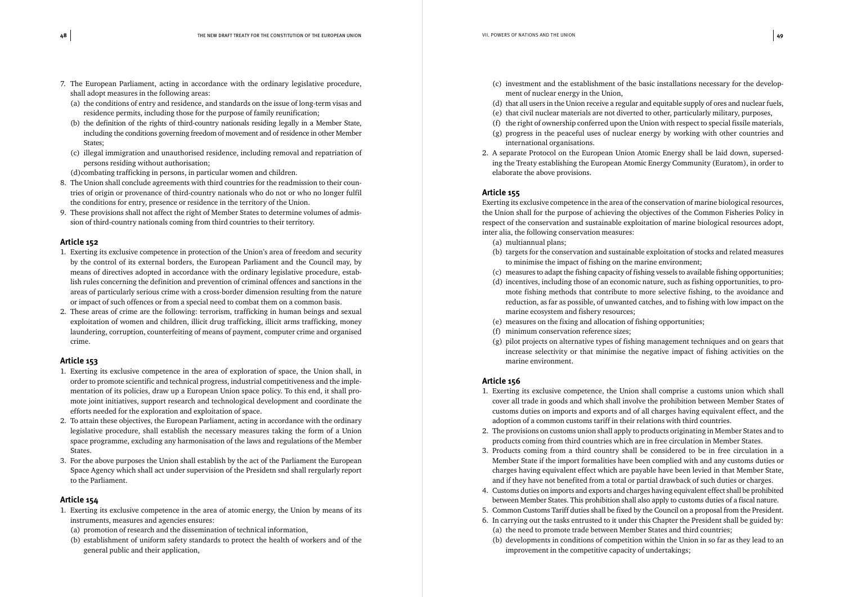- 7. The European Parliament, acting in accordance with the ordinary legislative procedure, shall adopt measures in the following areas:
	- (a) the conditions of entry and residence, and standards on the issue of long-term visas and residence permits, including those for the purpose of family reunification;
	- (b) the definition of the rights of third-country nationals residing legally in a Member State, including the conditions governing freedom of movement and of residence in other Member States;
	- (c) illegal immigration and unauthorised residence, including removal and repatriation of persons residing without authorisation;
	- (d)combating trafficking in persons, in particular women and children.
- 8. The Union shall conclude agreements with third countries for the readmission to their countries of origin or provenance of third-country nationals who do not or who no longer fulfil the conditions for entry, presence or residence in the territory of the Union.
- 9. These provisions shall not affect the right of Member States to determine volumes of admission of third-country nationals coming from third countries to their territory.

- 1. Exerting its exclusive competence in protection of the Union's area of freedom and security by the control of its external borders, the European Parliament and the Council may, by means of directives adopted in accordance with the ordinary legislative procedure, establish rules concerning the definition and prevention of criminal offences and sanctions in the areas of particularly serious crime with a cross-border dimension resulting from the nature or impact of such offences or from a special need to combat them on a common basis.
- 2. These areas of crime are the following: terrorism, trafficking in human beings and sexual exploitation of women and children, illicit drug trafficking, illicit arms trafficking, money laundering, corruption, counterfeiting of means of payment, computer crime and organised crime.

#### **Article 153**

- 1. Exerting its exclusive competence in the area of exploration of space, the Union shall, in order to promote scientific and technical progress, industrial competitiveness and the implementation of its policies, draw up a European Union space policy. To this end, it shall promote joint initiatives, support research and technological development and coordinate the efforts needed for the exploration and exploitation of space.
- 2. To attain these objectives, the European Parliament, acting in accordance with the ordinary legislative procedure, shall establish the necessary measures taking the form of a Union space programme, excluding any harmonisation of the laws and regulations of the Member States.
- 3. For the above purposes the Union shall establish by the act of the Parliament the European Space Agency which shall act under supervision of the Presidetn snd shall rergularly report to the Parliament.

#### **Article 154**

- 1. Exerting its exclusive competence in the area of atomic energy, the Union by means of its instruments, measures and agencies ensures:
	- (a) promotion of research and the dissemination of technical information,
	- (b) establishment of uniform safety standards to protect the health of workers and of the general public and their application,

(c) investment and the establishment of the basic installations necessary for the develop-

(d) that all users in the Union receive a regular and equitable supply of ores and nuclear fuels,

- ment of nuclear energy in the Union,
- 
- (e) that civil nuclear materials are not diverted to other, particularly military, purposes,
- (f) the right of ownership conferred upon the Union with respect to special fissile materials,
- international organisations.
- 2. A separate Protocol on the European Union Atomic Energy shall be laid down, supersedelaborate the above provisions.

(g) progress in the peaceful uses of nuclear energy by working with other countries and

ing the Treaty establishing the European Atomic Energy Community (Euratom), in order to

#### **Article 155**

Exerting its exclusive competence in the area of the conservation of marine biological resources, the Union shall for the purpose of achieving the objectives of the Common Fisheries Policy in respect of the conservation and sustainable exploitation of marine biological resources adopt, inter alia, the following conservation measures:

(d) incentives, including those of an economic nature, such as fishing opportunities, to promote fishing methods that contribute to more selective fishing, to the avoidance and reduction, as far as possible, of unwanted catches, and to fishing with low impact on the

- (a) multiannual plans;
- (b) targets for the conservation and sustainable exploitation of stocks and related measures to minimise the impact of fishing on the marine environment;
- (c) measures to adapt the fishing capacity of fishing vessels to available fishing opportunities;
- marine ecosystem and fishery resources;
- (e) measures on the fixing and allocation of fishing opportunities;
- (f) minimum conservation reference sizes;
- marine environment.

(g) pilot projects on alternative types of fishing management techniques and on gears that increase selectivity or that minimise the negative impact of fishing activities on the

#### **Article 156**

cover all trade in goods and which shall involve the prohibition between Member States of

Member State if the import formalities have been complied with and any customs duties or charges having equivalent effect which are payable have been levied in that Member State,

- 1. Exerting its exclusive competence, the Union shall comprise a customs union which shall customs duties on imports and exports and of all charges having equivalent effect, and the adoption of a common customs tariff in their relations with third countries.
- 2. The provisions on customs union shall apply to products originating in Member States and to products coming from third countries which are in free circulation in Member States.
- 3. Products coming from a third country shall be considered to be in free circulation in a and if they have not benefited from a total or partial drawback of such duties or charges.
- between Member States. This prohibition shall also apply to customs duties of a fiscal nature.
- 
- (a) the need to promote trade between Member States and third countries;
- - improvement in the competitive capacity of undertakings;

4. Customs duties on imports and exports and charges having equivalent effect shall be prohibited

5. Common Customs Tariff duties shall be fixed by the Council on a proposal from the President. 6. In carrying out the tasks entrusted to it under this Chapter the President shall be guided by:

(b) developments in conditions of competition within the Union in so far as they lead to an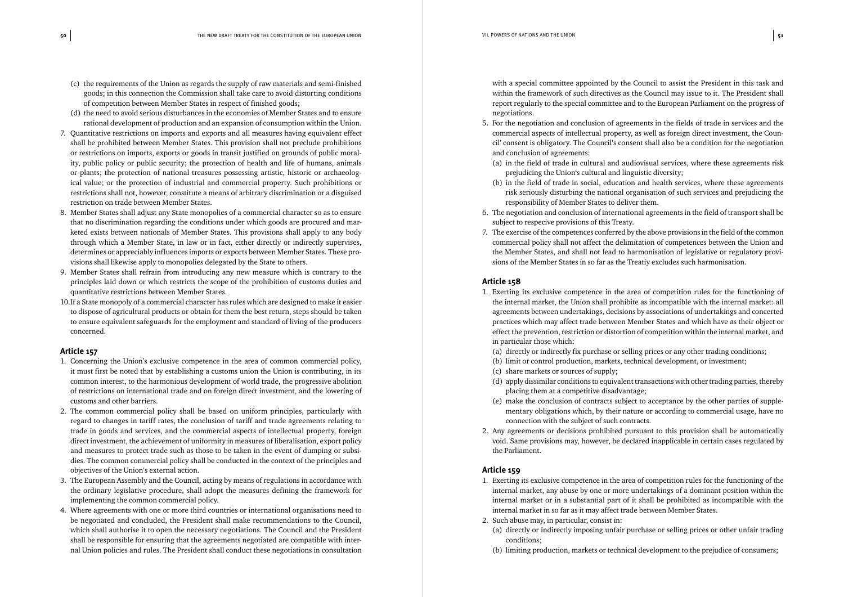- (c) the requirements of the Union as regards the supply of raw materials and semi-finished goods; in this connection the Commission shall take care to avoid distorting conditions of competition between Member States in respect of finished goods;
- (d) the need to avoid serious disturbances in the economies of Member States and to ensure rational development of production and an expansion of consumption within the Union.
- 7. Quantitative restrictions on imports and exports and all measures having equivalent effect shall be prohibited between Member States. This provision shall not preclude prohibitions or restrictions on imports, exports or goods in transit justified on grounds of public morality, public policy or public security; the protection of health and life of humans, animals or plants; the protection of national treasures possessing artistic, historic or archaeological value; or the protection of industrial and commercial property. Such prohibitions or restrictions shall not, however, constitute a means of arbitrary discrimination or a disguised restriction on trade between Member States.
- 8. Member States shall adjust any State monopolies of a commercial character so as to ensure that no discrimination regarding the conditions under which goods are procured and marketed exists between nationals of Member States. This provisions shall apply to any body through which a Member State, in law or in fact, either directly or indirectly supervises, determines or appreciably influences imports or exports between Member States. These provisions shall likewise apply to monopolies delegated by the State to others.
- 9. Member States shall refrain from introducing any new measure which is contrary to the principles laid down or which restricts the scope of the prohibition of customs duties and quantitative restrictions between Member States.
- 10.If a State monopoly of a commercial character has rules which are designed to make it easier to dispose of agricultural products or obtain for them the best return, steps should be taken to ensure equivalent safeguards for the employment and standard of living of the producers concerned.

- 1. Concerning the Union's exclusive competence in the area of common commercial policy, it must first be noted that by establishing a customs union the Union is contributing, in its common interest, to the harmonious development of world trade, the progressive abolition of restrictions on international trade and on foreign direct investment, and the lowering of customs and other barriers.
- 2. The common commercial policy shall be based on uniform principles, particularly with regard to changes in tariff rates, the conclusion of tariff and trade agreements relating to trade in goods and services, and the commercial aspects of intellectual property, foreign direct investment, the achievement of uniformity in measures of liberalisation, export policy and measures to protect trade such as those to be taken in the event of dumping or subsidies. The common commercial policy shall be conducted in the context of the principles and objectives of the Union's external action.
- 3. The European Assembly and the Council, acting by means of regulations in accordance with the ordinary legislative procedure, shall adopt the measures defining the framework for implementing the common commercial policy.
- 4. Where agreements with one or more third countries or international organisations need to be negotiated and concluded, the President shall make recommendations to the Council, which shall authorise it to open the necessary negotiations. The Council and the President shall be responsible for ensuring that the agreements negotiated are compatible with internal Union policies and rules. The President shall conduct these negotiations in consultation

with a special committee appointed by the Council to assist the President in this task and within the framework of such directives as the Council may issue to it. The President shall report regularly to the special committee and to the European Parliament on the progress of negotiations.

cil' consent is obligatory. The Council's consent shall also be a condition for the negotiation

- 5. For the negotiation and conclusion of agreements in the fields of trade in services and the commercial aspects of intellectual property, as well as foreign direct investment, the Counand conclusion of agreements:
	- (a) in the field of trade in cultural and audiovisual services, where these agreements risk prejudicing the Union's cultural and linguistic diversity;
	- (b) in the field of trade in social, education and health services, where these agreements risk seriously disturbing the national organisation of such services and prejudicing the responsibility of Member States to deliver them.
- 6. The negotiation and conclusion of international agreements in the field of transport shall be subject to respecive provisions of this Treaty.
- 7. The exercise of the competences conferred by the above provisions in the field of the common the Member States, and shall not lead to harmonisation of legislative or regulatory provisions of the Member States in so far as the Treatiy excludes such harmonisation.

commercial policy shall not affect the delimitation of competences between the Union and

#### **Article 158**

1. Exerting its exclusive competence in the area of competition rules for the functioning of agreements between undertakings, decisions by associations of undertakings and concerted effect the prevention, restriction or distortion of competition within the internal market, and

(a) directly or indirectly fix purchase or selling prices or any other trading conditions; (b) limit or control production, markets, technical development, or investment;

- the internal market, the Union shall prohibite as incompatible with the internal market: all practices which may affect trade between Member States and which have as their object or in particular those which:
	-
	-
	- (c) share markets or sources of supply;
	- placing them at a competitive disadvantage;
	- connection with the subject of such contracts.
- 2. Any agreements or decisions prohibited pursuant to this provision shall be automatically the Parliament.

(d) apply dissimilar conditions to equivalent transactions with other trading parties, thereby

(e) make the conclusion of contracts subject to acceptance by the other parties of supplementary obligations which, by their nature or according to commercial usage, have no

void. Same provisions may, however, be declared inapplicable in certain cases regulated by

#### **Article 159**

1. Exerting its exclusive competence in the area of competition rules for the functioning of the internal market, any abuse by one or more undertakings of a dominant position within the internal market or in a substantial part of it shall be prohibited as incompatible with the

- internal market in so far as it may affect trade between Member States.
- 2. Such abuse may, in particular, consist in: conditions;
	-

(a) directly or indirectly imposing unfair purchase or selling prices or other unfair trading

(b) limiting production, markets or technical development to the prejudice of consumers;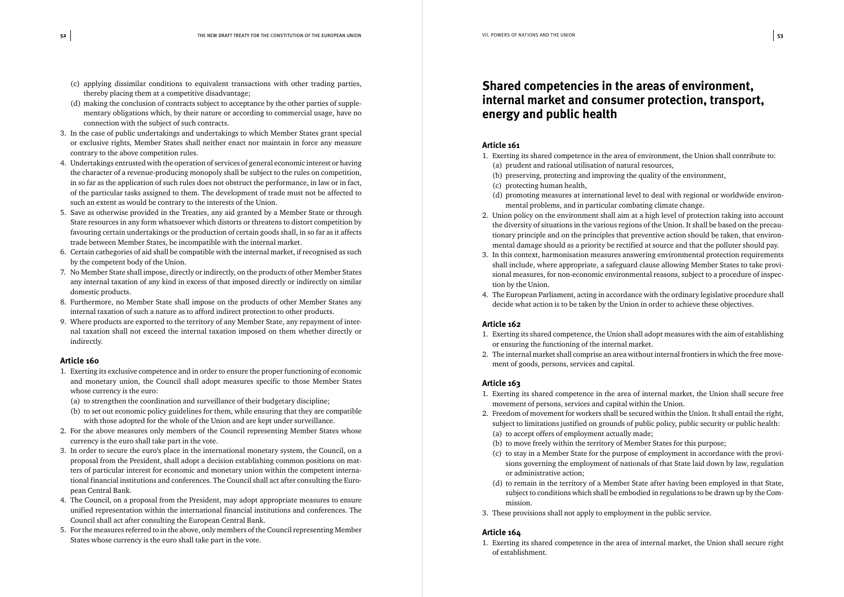- (c) applying dissimilar conditions to equivalent transactions with other trading parties, thereby placing them at a competitive disadvantage;
- (d) making the conclusion of contracts subject to acceptance by the other parties of supplementary obligations which, by their nature or according to commercial usage, have no connection with the subject of such contracts.
- 3. In the case of public undertakings and undertakings to which Member States grant special or exclusive rights, Member States shall neither enact nor maintain in force any measure contrary to the above competition rules.
- 4. Undertakings entrusted with the operation of services of general economic interest or having the character of a revenue-producing monopoly shall be subject to the rules on competition, in so far as the application of such rules does not obstruct the performance, in law or in fact, of the particular tasks assigned to them. The development of trade must not be affected to such an extent as would be contrary to the interests of the Union.
- 5. Save as otherwise provided in the Treaties, any aid granted by a Member State or through State resources in any form whatsoever which distorts or threatens to distort competition by favouring certain undertakings or the production of certain goods shall, in so far as it affects trade between Member States, be incompatible with the internal market.
- 6. Certain cathegories of aid shall be compatible with the internal market, if recognised as such by the competent body of the Union.
- 7. No Member State shall impose, directly or indirectly, on the products of other Member States any internal taxation of any kind in excess of that imposed directly or indirectly on similar domestic products.
- 8. Furthermore, no Member State shall impose on the products of other Member States any internal taxation of such a nature as to afford indirect protection to other products.
- 9. Where products are exported to the territory of any Member State, any repayment of internal taxation shall not exceed the internal taxation imposed on them whether directly or indirectly.

- 1. Exerting its exclusive competence and in order to ensure the proper functioning of economic and monetary union, the Council shall adopt measures specific to those Member States whose currency is the euro:
	- (a) to strengthen the coordination and surveillance of their budgetary discipline;
	- (b) to set out economic policy guidelines for them, while ensuring that they are compatible with those adopted for the whole of the Union and are kept under surveillance.
- 2. For the above measures only members of the Council representing Member States whose currency is the euro shall take part in the vote.
- 3. In order to secure the euro's place in the international monetary system, the Council, on a proposal from the President, shall adopt a decision establishing common positions on matters of particular interest for economic and monetary union within the competent international financial institutions and conferences. The Council shall act after consulting the European Central Bank.
- 4. The Council, on a proposal from the President, may adopt appropriate measures to ensure unified representation within the international financial institutions and conferences. The Council shall act after consulting the European Central Bank.
- 5. For the measures referred to in the above, only members of the Council representing Member States whose currency is the euro shall take part in the vote.

#### *Shared competencies in the areas of environment, internal market and consumer protection, transport, energy and public health*

#### **Article 161**

(d) promoting measures at international level to deal with regional or worldwide environ-

- 1. Exerting its shared competence in the area of environment, the Union shall contribute to: (a) prudent and rational utilisation of natural resources,
	- (b) preserving, protecting and improving the quality of the environment,
	- (c) protecting human health,
	- mental problems, and in particular combating climate change.
- 2. Union policy on the environment shall aim at a high level of protection taking into account mental damage should as a priority be rectified at source and that the polluter should pay.
- 3. In this context, harmonisation measures answering environmental protection requirements tion by the Union.
- 4. The European Parliament, acting in accordance with the ordinary legislative procedure shall decide what action is to be taken by the Union in order to achieve these objectives.

the diversity of situations in the various regions of the Union. It shall be based on the precautionary principle and on the principles that preventive action should be taken, that environshall include, where appropriate, a safeguard clause allowing Member States to take provi-

sional measures, for non-economic environmental reasons, subject to a procedure of inspec-

#### **Article 162**

- 1. Exerting its shared competence, the Union shall adopt measures with the aim of establishing or ensuring the functioning of the internal market.
- 2. The internal market shall comprise an area without internal frontiers in which the free movement of goods, persons, services and capital.

#### **Article 163**

1. Exerting its shared competence in the area of internal market, the Union shall secure free

(b) to move freely within the territory of Member States for this purpose;

- movement of persons, services and capital within the Union.
- 2. Freedom of movement for workers shall be secured within the Union. It shall entail the right, subject to limitations justified on grounds of public policy, public security or public health:
	- (a) to accept offers of employment actually made;
	-
	- or administrative action;
	- mission.
- 3. These provisions shall not apply to employment in the public service.

(c) to stay in a Member State for the purpose of employment in accordance with the provisions governing the employment of nationals of that State laid down by law, regulation

(d) to remain in the territory of a Member State after having been employed in that State, subject to conditions which shall be embodied in regulations to be drawn up by the Com-

#### **Article 164**

1. Exerting its shared competence in the area of internal market, the Union shall secure right of establishment.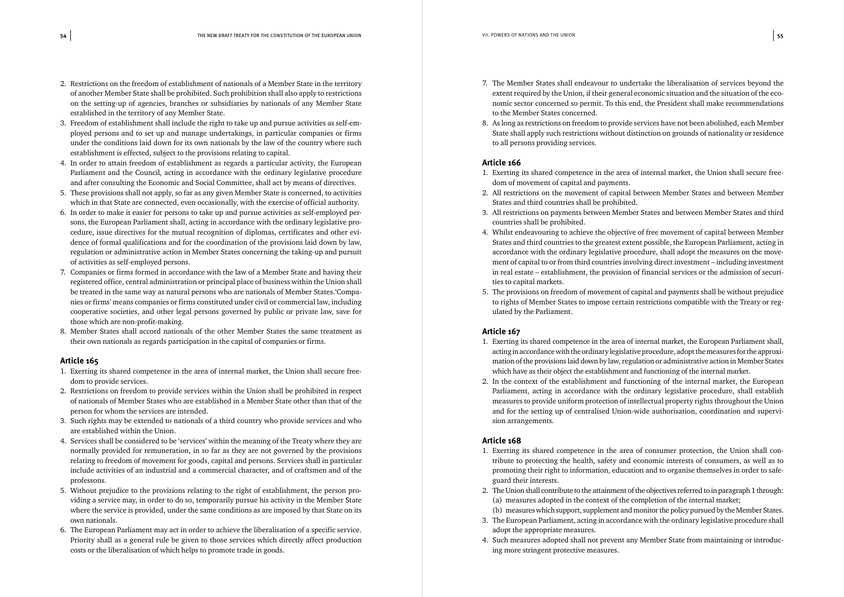- 2. Restrictions on the freedom of establishment of nationals of a Member State in the territory of another Member State shall be prohibited. Such prohibition shall also apply to restrictions on the setting-up of agencies, branches or subsidiaries by nationals of any Member State established in the territory of any Member State.
- 3. Freedom of establishment shall include the right to take up and pursue activities as self-employed persons and to set up and manage undertakings, in particular companies or firms under the conditions laid down for its own nationals by the law of the country where such establishment is effected, subject to the provisions relating to capital.
- 4. In order to attain freedom of establishment as regards a particular activity, the European Parliament and the Council, acting in accordance with the ordinary legislative procedure and after consulting the Economic and Social Committee, shall act by means of directives.
- 5. These provisions shall not apply, so far as any given Member State is concerned, to activities which in that State are connected, even occasionally, with the exercise of official authority.
- 6. In order to make it easier for persons to take up and pursue activities as self-employed persons, the European Parliament shall, acting in accordance with the ordinary legislative procedure, issue directives for the mutual recognition of diplomas, certificates and other evidence of formal qualifications and for the coordination of the provisions laid down by law, regulation or administrative action in Member States concerning the taking-up and pursuit of activities as self-employed persons.
- 7. Companies or firms formed in accordance with the law of a Member State and having their registered office, central administration or principal place of business within the Union shall be treated in the same way as natural persons who are nationals of Member States.'Companies or firms' means companies or firms constituted under civil or commercial law, including cooperative societies, and other legal persons governed by public or private law, save for those which are non-profit-making.
- 8. Member States shall accord nationals of the other Member States the same treatment as their own nationals as regards participation in the capital of companies or firms.

- 1. Exerting its shared competence in the area of internal market, the Union shall secure freedom to provide services.
- 2. Restrictions on freedom to provide services within the Union shall be prohibited in respect of nationals of Member States who are established in a Member State other than that of the person for whom the services are intended.
- 3. Such rights may be extended to nationals of a third country who provide services and who are established within the Union.
- 4. Services shall be considered to be 'services' within the meaning of the Treaty where they are normally provided for remuneration, in so far as they are not governed by the provisions relating to freedom of movement for goods, capital and persons. Services shall in particular include activities of an industrial and a commercial character, and of craftsmen and of the professons.
- 5. Without prejudice to the provisions relating to the right of establishment, the person providing a service may, in order to do so, temporarily pursue his activity in the Member State where the service is provided, under the same conditions as are imposed by that State on its own nationals.
- 6. The European Parliament may act in order to achieve the liberalisation of a specific service. Priority shall as a general rule be given to those services which directly affect production costs or the liberalisation of which helps to promote trade in goods.

extent required by the Union, if their general economic situation and the situation of the economic sector concerned so permit. To this end, the President shall make recommendations

- 7. The Member States shall endeavour to undertake the liberalisation of services beyond the to the Member States concerned.
- to all persons providing services.

8. As long as restrictions on freedom to provide services have not been abolished, each Member State shall apply such restrictions without distinction on grounds of nationality or residence

#### **Article 166**

2. All restrictions on the movement of capital between Member States and between Member

3. All restrictions on payments between Member States and between Member States and third

- 1. Exerting its shared competence in the area of internal market, the Union shall secure freedom of movement of capital and payments.
- States and third countries shall be prohibited.
- countries shall be prohibited.
- 4. Whilst endeavouring to achieve the objective of free movement of capital between Member in real estate – establishment, the provision of financial services or the admission of securities to capital markets.
- ulated by the Parliament.

States and third countries to the greatest extent possible, the European Parliament, acting in accordance with the ordinary legislative procedure, shall adopt the measures on the movement of capital to or from third countries involving direct investment – including investment

5. The provisions on freedom of movement of capital and payments shall be without prejudice to rights of Member States to impose certain restrictions compatible with the Treaty or reg-

#### **Article 167**

- 1. Exerting its shared competence in the area of internal market, the European Parliament shall, acting in accordance with the ordinary legislative procedure, adopt the measures for the approximation of the provisions laid down by law, regulation or administrative action in Member States which have as their object the establishment and functioning of the internal market.
- 2. In the context of the establishment and functioning of the internal market, the European and for the setting up of centralised Union-wide authorisation, coordination and supervision arrangements.

Parliament, acting in accordance with the ordinary legislative procedure, shall establish measures to provide uniform protection of intellectual property rights throughout the Union

#### **Article 168**

2. The Union shall contribute to the attainment of the objectives referred to in paragraph 1 through:

- 1. Exerting its shared competence in the area of consumer protection, the Union shall contribute to protecting the health, safety and economic interests of consumers, as well as to promoting their right to information, education and to organise themselves in order to safeguard their interests.
- (a) measures adopted in the context of the completion of the internal market; (b) measures which support, supplement and monitor the policy pursued by the Member States.
- adopt the appropriate measures.
- ing more stringent protective measures.

3. The European Parliament, acting in accordance with the ordinary legislative procedure shall

4. Such measures adopted shall not prevent any Member State from maintaining or introduc-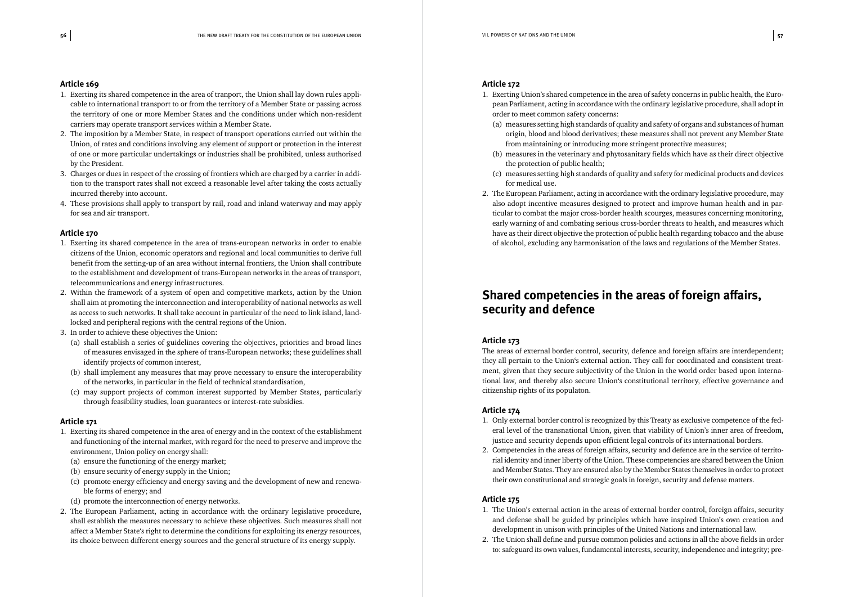- 1. Exerting its shared competence in the area of tranport, the Union shall lay down rules applicable to international transport to or from the territory of a Member State or passing across the territory of one or more Member States and the conditions under which non-resident carriers may operate transport services within a Member State.
- 2. The imposition by a Member State, in respect of transport operations carried out within the Union, of rates and conditions involving any element of support or protection in the interest of one or more particular undertakings or industries shall be prohibited, unless authorised by the President.
- 3. Charges or dues in respect of the crossing of frontiers which are charged by a carrier in addition to the transport rates shall not exceed a reasonable level after taking the costs actually incurred thereby into account.
- 4. These provisions shall apply to transport by rail, road and inland waterway and may apply for sea and air transport.

#### **Article 170**

- 1. Exerting its shared competence in the area of trans-european networks in order to enable citizens of the Union, economic operators and regional and local communities to derive full benefit from the setting-up of an area without internal frontiers, the Union shall contribute to the establishment and development of trans-European networks in the areas of transport, telecommunications and energy infrastructures.
- 2. Within the framework of a system of open and competitive markets, action by the Union shall aim at promoting the interconnection and interoperability of national networks as well as access to such networks. It shall take account in particular of the need to link island, landlocked and peripheral regions with the central regions of the Union.
- 3. In order to achieve these objectives the Union:
	- (a) shall establish a series of guidelines covering the objectives, priorities and broad lines of measures envisaged in the sphere of trans-European networks; these guidelines shall identify projects of common interest,
	- (b) shall implement any measures that may prove necessary to ensure the interoperability of the networks, in particular in the field of technical standardisation,
	- (c) may support projects of common interest supported by Member States, particularly through feasibility studies, loan guarantees or interest-rate subsidies.

#### **Article 171**

- 1. Exerting its shared competence in the area of energy and in the context of the establishment and functioning of the internal market, with regard for the need to preserve and improve the environment, Union policy on energy shall:
	- (a) ensure the functioning of the energy market;
	- (b) ensure security of energy supply in the Union;
	- (c) promote energy efficiency and energy saving and the development of new and renewable forms of energy; and
	- (d) promote the interconnection of energy networks.
- 2. The European Parliament, acting in accordance with the ordinary legislative procedure, shall establish the measures necessary to achieve these objectives. Such measures shall not affect a Member State's right to determine the conditions for exploiting its energy resources, its choice between different energy sources and the general structure of its energy supply.

#### **Article 172**

1. Exerting Union's shared competence in the area of safety concerns in public health, the European Parliament, acting in accordance with the ordinary legislative procedure, shall adopt in

(a) measures setting high standards of quality and safety of organs and substances of human origin, blood and blood derivatives; these measures shall not prevent any Member State

(b) measures in the veterinary and phytosanitary fields which have as their direct objective

(c) measures setting high standards of quality and safety for medicinal products and devices

- order to meet common safety concerns:
- from maintaining or introducing more stringent protective measures;
- the protection of public health;
- for medical use.
- of alcohol, excluding any harmonisation of the laws and regulations of the Member States.

2. The European Parliament, acting in accordance with the ordinary legislative procedure, may also adopt incentive measures designed to protect and improve human health and in particular to combat the major cross-border health scourges, measures concerning monitoring, early warning of and combating serious cross-border threats to health, and measures which have as their direct objective the protection of public health regarding tobacco and the abuse

#### *Shared competencies in the areas of foreign affairs, security and defence*

#### **Article 173**

The areas of external border control, security, defence and foreign affairs are interdependent; they all pertain to the Union's external action. They call for coordinated and consistent treatment, given that they secure subjectivity of the Union in the world order based upon international law, and thereby also secure Union's constitutional territory, effective governance and citizenship rights of its populaton.

#### **Article 174**

- 1. Only external border control is recognized by this Treaty as exclusive competence of the federal level of the transnational Union, given that viability of Union's inner area of freedom, justice and security depends upon efficient legal controls of its international borders.
- 2. Competencies in the areas of foreign affairs, security and defence are in the service of territotheir own constitutional and strategic goals in foreign, security and defense matters.

rial identity and inner liberty of the Union. These competencies are shared between the Union and Member States. They are ensured also by the Member States themselves in order to protect

#### **Article 175**

- 1. The Union's external action in the areas of external border control, foreign affairs, security and defense shall be guided by principles which have inspired Union's own creation and development in unison with principles of the United Nations and international law.
- 2. The Union shall define and pursue common policies and actions in all the above fields in order

to: safeguard its own values, fundamental interests, security, independence and integrity; pre-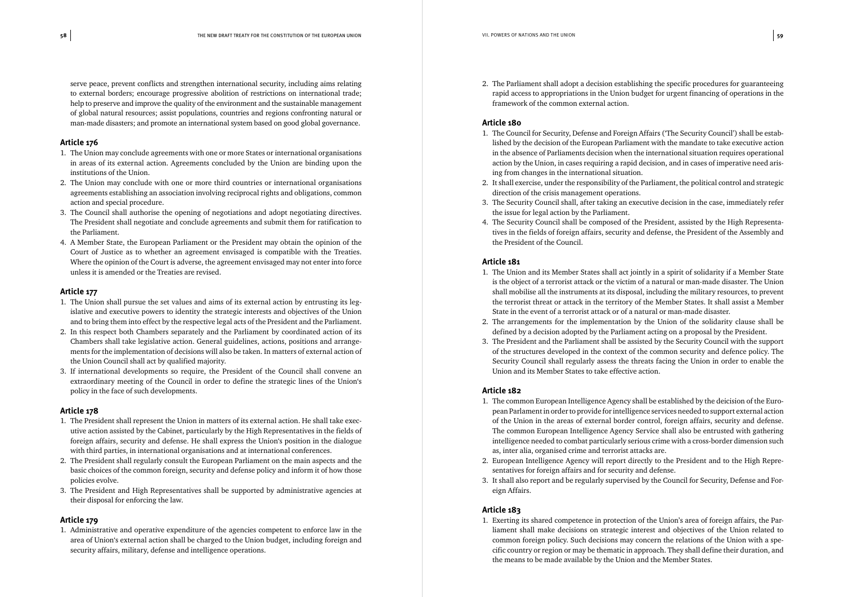serve peace, prevent conflicts and strengthen international security, including aims relating to external borders; encourage progressive abolition of restrictions on international trade; help to preserve and improve the quality of the environment and the sustainable management of global natural resources; assist populations, countries and regions confronting natural or man-made disasters; and promote an international system based on good global governance.

#### **Article 176**

- 1. The Union may conclude agreements with one or more States or international organisations in areas of its external action. Agreements concluded by the Union are binding upon the institutions of the Union.
- 2. The Union may conclude with one or more third countries or international organisations agreements establishing an association involving reciprocal rights and obligations, common action and special procedure.
- 3. The Council shall authorise the opening of negotiations and adopt negotiating directives. The President shall negotiate and conclude agreements and submit them for ratification to the Parliament.
- 4. A Member State, the European Parliament or the President may obtain the opinion of the Court of Justice as to whether an agreement envisaged is compatible with the Treaties. Where the opinion of the Court is adverse, the agreement envisaged may not enter into force unless it is amended or the Treaties are revised.

#### **Article 177**

- 1. The Union shall pursue the set values and aims of its external action by entrusting its legislative and executive powers to identity the strategic interests and objectives of the Union and to bring them into effect by the respective legal acts of the President and the Parliament.
- 2. In this respect both Chambers separately and the Parliament by coordinated action of its Chambers shall take legislative action. General guidelines, actions, positions and arrangements for the implementation of decisions will also be taken. In matters of external action of the Union Council shall act by qualified majority.
- 3. If international developments so require, the President of the Council shall convene an extraordinary meeting of the Council in order to define the strategic lines of the Union's policy in the face of such developments.

#### **Article 178**

- 1. The President shall represent the Union in matters of its external action. He shall take executive action assisted by the Cabinet, particularly by the High Representatives in the fields of foreign affairs, security and defense. He shall express the Union's position in the dialogue with third parties, in international organisations and at international conferences.
- 2. The President shall regularly consult the European Parliament on the main aspects and the basic choices of the common foreign, security and defense policy and inform it of how those policies evolve.
- 3. The President and High Representatives shall be supported by administrative agencies at their disposal for enforcing the law.

#### **Article 179**

1. Administrative and operative expenditure of the agencies competent to enforce law in the area of Union's external action shall be charged to the Union budget, including foreign and security affairs, military, defense and intelligence operations.

2. The Parliament shall adopt a decision establishing the specific procedures for guaranteeing framework of the common external action.

rapid access to appropriations in the Union budget for urgent financing of operations in the

#### **Article 180**

lished by the decision of the European Parliament with the mandate to take executive action in the absence of Parliaments decision when the international situation requires operational

- 1. The Council for Security, Defense and Foreign Affairs ('The Security Council') shall be estabaction by the Union, in cases requiring a rapid decision, and in cases of imperative need arising from changes in the international situation.
- direction of the crisis management operations.
- the issue for legal action by the Parliament.
- tives in the fields of foreign affairs, security and defense, the President of the Assembly and the President of the Council.

2. It shall exercise, under the responsibility of the Parliament, the political control and strategic

3. The Security Council shall, after taking an executive decision in the case, immediately refer

4. The Security Council shall be composed of the President, assisted by the High Representa-

#### **Article 181**

is the object of a terrorist attack or the victim of a natural or man-made disaster. The Union shall mobilise all the instruments at its disposal, including the military resources, to prevent the terrorist threat or attack in the territory of the Member States. It shall assist a Member

- 1. The Union and its Member States shall act jointly in a spirit of solidarity if a Member State State in the event of a terrorist attack or of a natural or man-made disaster.
- defined by a decision adopted by the Parliament acting on a proposal by the President.
- 3. The President and the Parliament shall be assisted by the Security Council with the support Security Council shall regularly assess the threats facing the Union in order to enable the Union and its Member States to take effective action.

2. The arrangements for the implementation by the Union of the solidarity clause shall be

of the structures developed in the context of the common security and defence policy. The

#### **Article 182**

pean Parlament in order to provide for intelligence services needed to support external action The common European Intelligence Agency Service shall also be entrusted with gathering intelligence needed to combat particularly serious crime with a cross-border dimension such

- 1. The common European Intelligence Agency shall be established by the deicision of the Euroof the Union in the areas of external border control, foreign affairs, security and defense. as, inter alia, organised crime and terrorist attacks are.
- sentatives for foreign affairs and for security and defense.
- 3. It shall also report and be regularly supervised by the Council for Security, Defense and Foreign Affairs.

2. European Intelligence Agency will report directly to the President and to the High Repre-

#### **Article 183**

1. Exerting its shared competence in protection of the Union's area of foreign affairs, the Parliament shall make decisions on strategic interest and objectives of the Union related to common foreign policy. Such decisions may concern the relations of the Union with a specific country or region or may be thematic in approach. They shall define their duration, and the means to be made available by the Union and the Member States.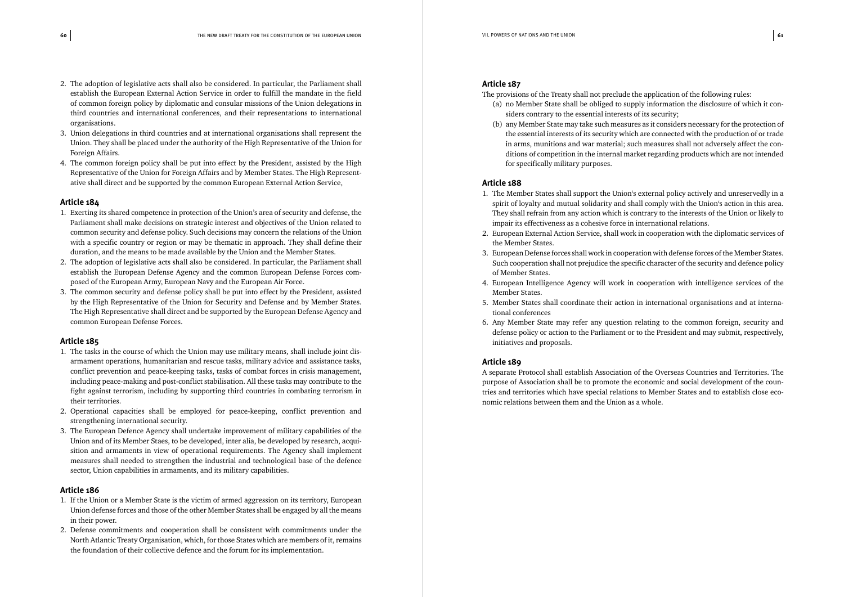- 2. The adoption of legislative acts shall also be considered. In particular, the Parliament shall establish the European External Action Service in order to fulfill the mandate in the field of common foreign policy by diplomatic and consular missions of the Union delegations in third countries and international conferences, and their representations to international organisations.
- 3. Union delegations in third countries and at international organisations shall represent the Union. They shall be placed under the authority of the High Representative of the Union for Foreign Affairs.
- 4. The common foreign policy shall be put into effect by the President, assisted by the High Representative of the Union for Foreign Affairs and by Member States. The High Representative shall direct and be supported by the common European External Action Service,

- 1. Exerting its shared competence in protection of the Union's area of security and defense, the Parliament shall make decisions on strategic interest and objectives of the Union related to common security and defense policy. Such decisions may concern the relations of the Union with a specific country or region or may be thematic in approach. They shall define their duration, and the means to be made available by the Union and the Member States.
- 2. The adoption of legislative acts shall also be considered. In particular, the Parliament shall establish the European Defense Agency and the common European Defense Forces composed of the European Army, European Navy and the European Air Force.
- 3. The common security and defense policy shall be put into effect by the President, assisted by the High Representative of the Union for Security and Defense and by Member States. The High Representative shall direct and be supported by the European Defense Agency and common European Defense Forces.

#### **Article 185**

- 1. The tasks in the course of which the Union may use military means, shall include joint disarmament operations, humanitarian and rescue tasks, military advice and assistance tasks, conflict prevention and peace-keeping tasks, tasks of combat forces in crisis management, including peace-making and post-conflict stabilisation. All these tasks may contribute to the fight against terrorism, including by supporting third countries in combating terrorism in their territories.
- 2. Operational capacities shall be employed for peace-keeping, conflict prevention and strengthening international security.
- 3. The European Defence Agency shall undertake improvement of military capabilities of the Union and of its Member Staes, to be developed, inter alia, be developed by research, acquisition and armaments in view of operational requirements. The Agency shall implement measures shall needed to strengthen the industrial and technological base of the defence sector, Union capabilities in armaments, and its military capabilities.

#### **Article 186**

- 1. If the Union or a Member State is the victim of armed aggression on its territory, European Union defense forces and those of the other Member States shall be engaged by all the means in their power.
- 2. Defense commitments and cooperation shall be consistent with commitments under the North Atlantic Treaty Organisation, which, for those States which are members of it, remains the foundation of their collective defence and the forum for its implementation.

#### **Article 187**

(a) no Member State shall be obliged to supply information the disclosure of which it con-

- The provisions of the Treaty shall not preclude the application of the following rules:
	- siders contrary to the essential interests of its security;
	- for specifically military purposes.

(b) any Member State may take such measures as it considers necessary for the protection of the essential interests of its security which are connected with the production of or trade in arms, munitions and war material; such measures shall not adversely affect the conditions of competition in the internal market regarding products which are not intended

#### **Article 188**

1. The Member States shall support the Union's external policy actively and unreservedly in a spirit of loyalty and mutual solidarity and shall comply with the Union's action in this area. They shall refrain from any action which is contrary to the interests of the Union or likely to

3. European Defense forces shall work in cooperation with defense forces of the Member States. Such cooperation shall not prejudice the specific character of the security and defence policy

- impair its effectiveness as a cohesive force in international relations.
- 2. European External Action Service, shall work in cooperation with the diplomatic services of the Member States.
- of Member States.
- Member States.
- 5. Member States shall coordinate their action in international organisations and at international conferences
- initiatives and proposals.

4. European Intelligence Agency will work in cooperation with intelligence services of the

6. Any Member State may refer any question relating to the common foreign, security and defense policy or action to the Parliament or to the President and may submit, respectively,

#### **Article 189**

A separate Protocol shall establish Association of the Overseas Countries and Territories. The purpose of Association shall be to promote the economic and social development of the countries and territories which have special relations to Member States and to establish close economic relations between them and the Union as a whole.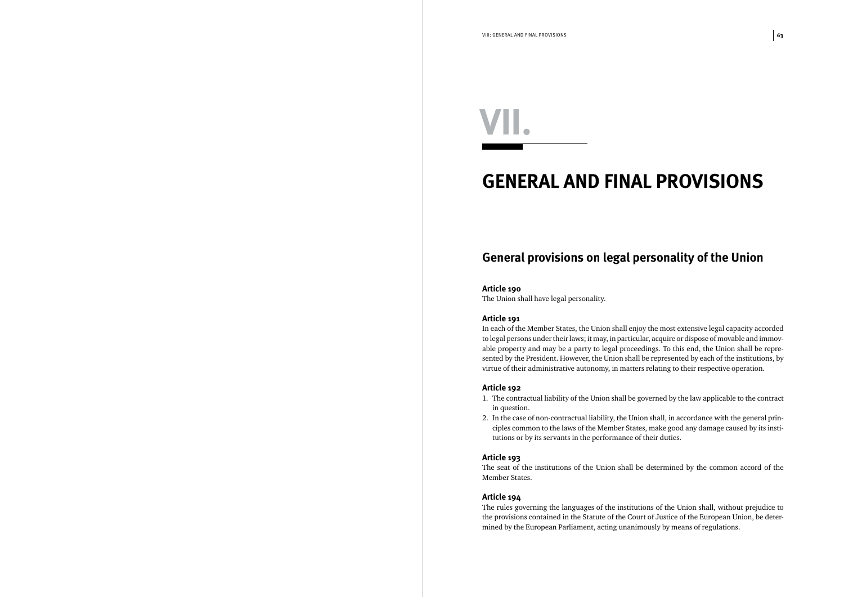### *GENERAL AND FINAL PROVISIONS*

### *General provisions on legal personality of the Union*

#### **Article 190**

The Union shall have legal personality.

#### **Article 191**

In each of the Member States, the Union shall enjoy the most extensive legal capacity accorded to legal persons under their laws; it may, in particular, acquire or dispose of movable and immovable property and may be a party to legal proceedings. To this end, the Union shall be represented by the President. However, the Union shall be represented by each of the institutions, by virtue of their administrative autonomy, in matters relating to their respective operation.

#### **Article 192**

1. The contractual liability of the Union shall be governed by the law applicable to the contract

2. In the case of non-contractual liability, the Union shall, in accordance with the general principles common to the laws of the Member States, make good any damage caused by its insti-

- in question.
- tutions or by its servants in the performance of their duties.

#### **Article 193**

The seat of the institutions of the Union shall be determined by the common accord of the Member States.

#### **Article 194**

The rules governing the languages of the institutions of the Union shall, without prejudice to the provisions contained in the Statute of the Court of Justice of the European Union, be determined by the European Parliament, acting unanimously by means of regulations.

# *VII.*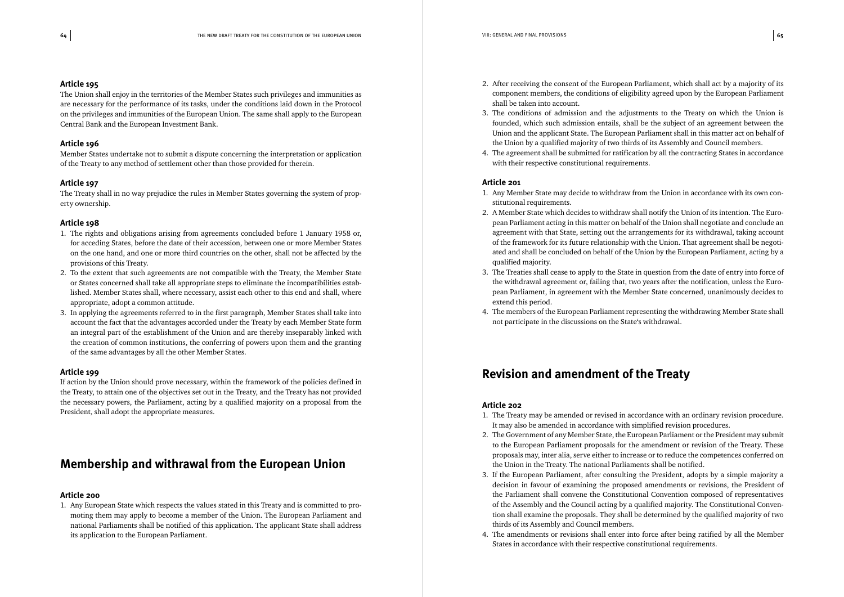The Union shall enjoy in the territories of the Member States such privileges and immunities as are necessary for the performance of its tasks, under the conditions laid down in the Protocol on the privileges and immunities of the European Union. The same shall apply to the European Central Bank and the European Investment Bank.

#### **Article 196**

Member States undertake not to submit a dispute concerning the interpretation or application of the Treaty to any method of settlement other than those provided for therein.

#### **Article 197**

The Treaty shall in no way prejudice the rules in Member States governing the system of property ownership.

#### **Article 198**

- 1. The rights and obligations arising from agreements concluded before 1 January 1958 or, for acceding States, before the date of their accession, between one or more Member States on the one hand, and one or more third countries on the other, shall not be affected by the provisions of this Treaty.
- 2. To the extent that such agreements are not compatible with the Treaty, the Member State or States concerned shall take all appropriate steps to eliminate the incompatibilities established. Member States shall, where necessary, assist each other to this end and shall, where appropriate, adopt a common attitude.
- 3. In applying the agreements referred to in the first paragraph, Member States shall take into account the fact that the advantages accorded under the Treaty by each Member State form an integral part of the establishment of the Union and are thereby inseparably linked with the creation of common institutions, the conferring of powers upon them and the granting of the same advantages by all the other Member States.

#### **Article 199**

If action by the Union should prove necessary, within the framework of the policies defined in the Treaty, to attain one of the objectives set out in the Treaty, and the Treaty has not provided the necessary powers, the Parliament, acting by a qualified majority on a proposal from the President, shall adopt the appropriate measures.

### *Membership and withrawal from the European Union*

#### **Article 200**

1. Any European State which respects the values stated in this Treaty and is committed to promoting them may apply to become a member of the Union. The European Parliament and national Parliaments shall be notified of this application. The applicant State shall address its application to the European Parliament.

component members, the conditions of eligibility agreed upon by the European Parliament

founded, which such admission entails, shall be the subject of an agreement between the

- 2. After receiving the consent of the European Parliament, which shall act by a majority of its shall be taken into account.
- 3. The conditions of admission and the adjustments to the Treaty on which the Union is Union and the applicant State. The European Parliament shall in this matter act on behalf of the Union by a qualified majority of two thirds of its Assembly and Council members.
- 4. The agreement shall be submitted for ratification by all the contracting States in accordance with their respective constitutional requirements.

#### **Article 201**

pean Parliament acting in this matter on behalf of the Union shall negotiate and conclude an agreement with that State, setting out the arrangements for its withdrawal, taking account of the framework for its future relationship with the Union. That agreement shall be negotiated and shall be concluded on behalf of the Union by the European Parliament, acting by a

- 1. Any Member State may decide to withdraw from the Union in accordance with its own constitutional requirements.
- 2. A Member State which decides to withdraw shall notify the Union of its intention. The Euroqualified majority.
- 3. The Treaties shall cease to apply to the State in question from the date of entry into force of extend this period.
- 4. The members of the European Parliament representing the withdrawing Member State shall not participate in the discussions on the State's withdrawal.

the withdrawal agreement or, failing that, two years after the notification, unless the European Parliament, in agreement with the Member State concerned, unanimously decides to

### *Revision and amendment of the Treaty*

#### **Article 202**

to the European Parliament proposals for the amendment or revision of the Treaty. These

- 1. The Treaty may be amended or revised in accordance with an ordinary revision procedure. It may also be amended in accordance with simplified revision procedures.
- 2. The Government of any Member State, the European Parliament or the President may submit proposals may, inter alia, serve either to increase or to reduce the competences conferred on the Union in the Treaty. The national Parliaments shall be notified.
- 3. If the European Parliament, after consulting the President, adopts by a simple majority a of the Assembly and the Council acting by a qualified majority. The Constitutional Conventhirds of its Assembly and Council members.
- States in accordance with their respective constitutional requirements.

decision in favour of examining the proposed amendments or revisions, the President of the Parliament shall convene the Constitutional Convention composed of representatives tion shall examine the proposals. They shall be determined by the qualified majority of two

4. The amendments or revisions shall enter into force after being ratified by all the Member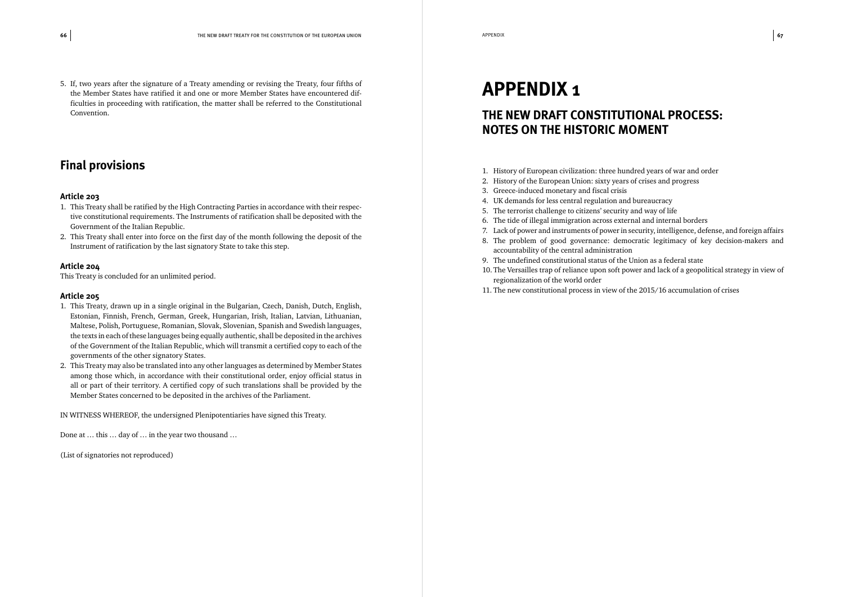5. If, two years after the signature of a Treaty amending or revising the Treaty, four fifths of the Member States have ratified it and one or more Member States have encountered difficulties in proceeding with ratification, the matter shall be referred to the Constitutional Convention.

#### *Final provisions*

#### **Article 203**

- 1. This Treaty shall be ratified by the High Contracting Parties in accordance with their respective constitutional requirements. The Instruments of ratification shall be deposited with the Government of the Italian Republic.
- 2. This Treaty shall enter into force on the first day of the month following the deposit of the Instrument of ratification by the last signatory State to take this step.

#### **Article 204**

This Treaty is concluded for an unlimited period.

#### **Article 205**

- 1. This Treaty, drawn up in a single original in the Bulgarian, Czech, Danish, Dutch, English, Estonian, Finnish, French, German, Greek, Hungarian, Irish, Italian, Latvian, Lithuanian, Maltese, Polish, Portuguese, Romanian, Slovak, Slovenian, Spanish and Swedish languages, the texts in each of these languages being equally authentic, shall be deposited in the archives of the Government of the Italian Republic, which will transmit a certified copy to each of the governments of the other signatory States.
- 2. This Treaty may also be translated into any other languages as determined by Member States among those which, in accordance with their constitutional order, enjoy official status in all or part of their territory. A certified copy of such translations shall be provided by the Member States concerned to be deposited in the archives of the Parliament.

IN WITNESS WHEREOF, the undersigned Plenipotentiaries have signed this Treaty.

Done at … this … day of … in the year two thousand …

(List of signatories not reproduced)

### *APPENDIX 1*

### *THE NEW DRAFT CONSTITUTIONAL PROCESS: NOTES ON THE HISTORIC MOMENT*

- 1. History of European civilization: three hundred years of war and order
- 2. History of the European Union: sixty years of crises and progress
- 3. Greece-induced monetary and fiscal crisis
- 4. UK demands for less central regulation and bureaucracy
- 5. The terrorist challenge to citizens' security and way of life
- 6. The tide of illegal immigration across external and internal borders
- 
- accountability of the central administration
- 9. The undefined constitutional status of the Union as a federal state
- regionalization of the world order
- 11. The new constitutional process in view of the 2015/16 accumulation of crises

7. Lack of power and instruments of power in security, intelligence, defense, and foreign affairs 8. The problem of good governance: democratic legitimacy of key decision-makers and

10. The Versailles trap of reliance upon soft power and lack of a geopolitical strategy in view of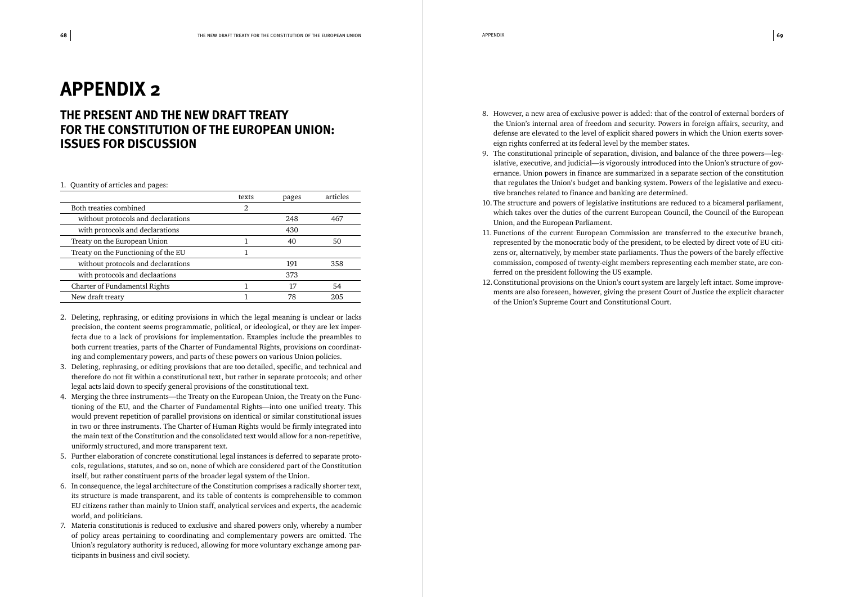### *APPENDIX 2*

### *THE PRESENT AND THE NEW DRAFT TREATY FOR THE CONSTITUTION OF THE EUROPEAN UNION: ISSUES FOR DISCUSSION*

#### 1. Quantity of articles and pages:

|                                      | texts | pages | articles |
|--------------------------------------|-------|-------|----------|
| Both treaties combined               | 2     |       |          |
| without protocols and declarations   |       | 248   | 467      |
| with protocols and declarations      |       | 430   |          |
| Treaty on the European Union         |       | 40    | 50       |
| Treaty on the Functioning of the EU  |       |       |          |
| without protocols and declarations   |       | 191   | 358      |
| with protocols and declaations       |       | 373   |          |
| <b>Charter of Fundamentsl Rights</b> |       | 17    | 54       |
| New draft treaty                     |       | 78    | 205      |
|                                      |       |       |          |

- 2. Deleting, rephrasing, or editing provisions in which the legal meaning is unclear or lacks precision, the content seems programmatic, political, or ideological, or they are lex imperfecta due to a lack of provisions for implementation. Examples include the preambles to both current treaties, parts of the Charter of Fundamental Rights, provisions on coordinating and complementary powers, and parts of these powers on various Union policies.
- 3. Deleting, rephrasing, or editing provisions that are too detailed, specific, and technical and therefore do not fit within a constitutional text, but rather in separate protocols; and other legal acts laid down to specify general provisions of the constitutional text.
- 4. Merging the three instruments—the Treaty on the European Union, the Treaty on the Functioning of the EU, and the Charter of Fundamental Rights—into one unified treaty. This would prevent repetition of parallel provisions on identical or similar constitutional issues in two or three instruments. The Charter of Human Rights would be firmly integrated into the main text of the Constitution and the consolidated text would allow for a non-repetitive, uniformly structured, and more transparent text.
- 5. Further elaboration of concrete constitutional legal instances is deferred to separate protocols, regulations, statutes, and so on, none of which are considered part of the Constitution itself, but rather constituent parts of the broader legal system of the Union.
- 6. In consequence, the legal architecture of the Constitution comprises a radically shorter text, its structure is made transparent, and its table of contents is comprehensible to common EU citizens rather than mainly to Union staff, analytical services and experts, the academic world, and politicians.
- 7. Materia constitutionis is reduced to exclusive and shared powers only, whereby a number of policy areas pertaining to coordinating and complementary powers are omitted. The Union's regulatory authority is reduced, allowing for more voluntary exchange among participants in business and civil society.

8. However, a new area of exclusive power is added: that of the control of external borders of the Union's internal area of freedom and security. Powers in foreign affairs, security, and defense are elevated to the level of explicit shared powers in which the Union exerts sover-

islative, executive, and judicial—is vigorously introduced into the Union's structure of governance. Union powers in finance are summarized in a separate section of the constitution that regulates the Union's budget and banking system. Powers of the legislative and execu-

10. The structure and powers of legislative institutions are reduced to a bicameral parliament, which takes over the duties of the current European Council, the Council of the European

- eign rights conferred at its federal level by the member states.
- 9. The constitutional principle of separation, division, and balance of the three powers—legtive branches related to finance and banking are determined.
- Union, and the European Parliament.
- 11. Functions of the current European Commission are transferred to the executive branch, ferred on the president following the US example.
- 12.Constitutional provisions on the Union's court system are largely left intact. Some improveof the Union's Supreme Court and Constitutional Court.

represented by the monocratic body of the president, to be elected by direct vote of EU citizens or, alternatively, by member state parliaments. Thus the powers of the barely effective commission, composed of twenty-eight members representing each member state, are con-

ments are also foreseen, however, giving the present Court of Justice the explicit character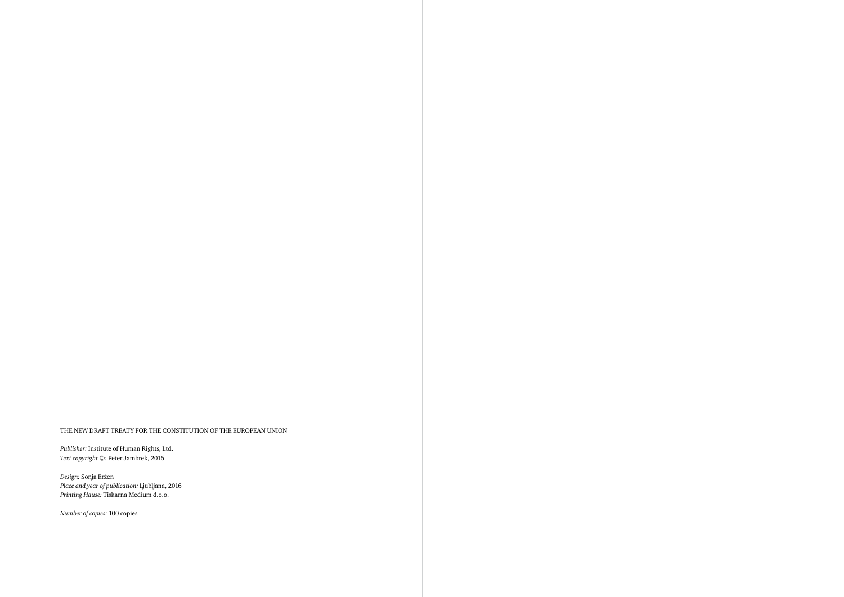#### THE NEW DRAFT TREATY FOR THE CONSTITUTION OF THE EUROPEAN UNION

*Publisher:* Institute of Human Rights, Ltd. *Text copyright ©:* Peter Jambrek, 2016

*Design:* Sonja Eržen *Place and year of publication:* Ljubljana, 2016 *Printing Hause:* Tiskarna Medium d.o.o.

*Number of copies:* 100 copies